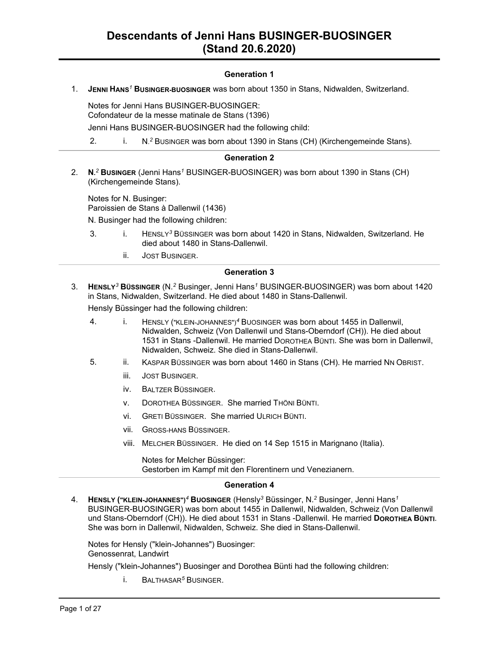## **Generation 1**

1. **JENNI HANS***<sup>1</sup>* **BUSINGER-BUOSINGER** was born about 1350 in Stans, Nidwalden, Switzerland.

Notes for Jenni Hans BUSINGER-BUOSINGER: Cofondateur de la messe matinale de Stans (1396)

Jenni Hans BUSINGER-BUOSINGER had the following child:

2. i. N.<sup>2</sup> Businger was born about 1390 in Stans (CH) (Kirchengemeinde Stans).

#### **Generation 2**

2. **N.** *<sup>2</sup>* **BUSINGER** (Jenni Hans*<sup>1</sup>* BUSINGER-BUOSINGER) was born about 1390 in Stans (CH) (Kirchengemeinde Stans).

Notes for N. Businger: Paroissien de Stans à Dallenwil (1436)

- N. Businger had the following children:
- 3. i. HENSLY*<sup>3</sup>* BÜSSINGER was born about 1420 in Stans, Nidwalden, Switzerland. He died about 1480 in Stans-Dallenwil.
	- ii. JOST BUSINGER.

#### **Generation 3**

3. **HENSLY***<sup>3</sup>* **BÜSSINGER** (N.*<sup>2</sup>* Businger, Jenni Hans*<sup>1</sup>* BUSINGER-BUOSINGER) was born about 1420 in Stans, Nidwalden, Switzerland. He died about 1480 in Stans-Dallenwil.

Hensly Büssinger had the following children:

- 4. i. HENSLY ("KLEIN-JOHANNES")*<sup>4</sup>* BUOSINGER was born about 1455 in Dallenwil, Nidwalden, Schweiz (Von Dallenwil und Stans-Oberndorf (CH)). He died about 1531 in Stans -Dallenwil. He married DOROTHEA BÜNTI. She was born in Dallenwil, Nidwalden, Schweiz. She died in Stans-Dallenwil.
- 5. ii. KASPAR BÜSSINGER was born about 1460 in Stans (CH). He married NN OBRIST.
	- iii. JOST BUSINGER.
	- iv. BALTZER BÜSSINGER.
	- v. DOROTHEA BÜSSINGER. She married THÖNI BÜNTI.
	- vi. GRETI BÜSSINGER. She married ULRICH BÜNTI.
	- vii. GROSS-HANS BÜSSINGER.
	- viii. MELCHER BÜSSINGER. He died on 14 Sep 1515 in Marignano (Italia).

Notes for Melcher Büssinger: Gestorben im Kampf mit den Florentinern und Venezianern.

#### **Generation 4**

4. **HENSLY ("KLEIN-JOHANNES")***<sup>4</sup>* **BUOSINGER** (Hensly*<sup>3</sup>* Büssinger, N.*<sup>2</sup>* Businger, Jenni Hans*<sup>1</sup>* BUSINGER-BUOSINGER) was born about 1455 in Dallenwil, Nidwalden, Schweiz (Von Dallenwil und Stans-Oberndorf (CH)). He died about 1531 in Stans -Dallenwil. He married **DOROTHEA BÜNTI**. She was born in Dallenwil, Nidwalden, Schweiz. She died in Stans-Dallenwil.

Notes for Hensly ("klein-Johannes") Buosinger: Genossenrat, Landwirt

Hensly ("klein-Johannes") Buosinger and Dorothea Bünti had the following children:

i. BALTHASAR*<sup>5</sup>* BUSINGER.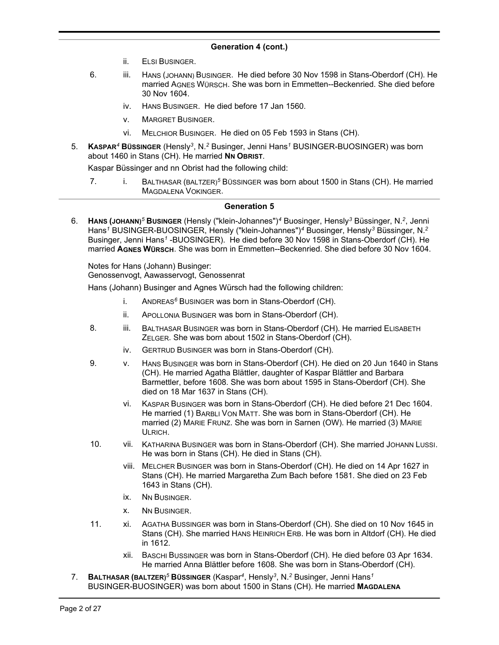- ii. ELSI BUSINGER.
- 6. iii. HANS (JOHANN) BUSINGER. He died before 30 Nov 1598 in Stans-Oberdorf (CH). He married AGNES WÜRSCH. She was born in Emmetten--Beckenried. She died before 30 Nov 1604.
	- iv. HANS BUSINGER. He died before 17 Jan 1560.
	- v. MARGRET BUSINGER.
	- vi. MELCHIOR BUSINGER. He died on 05 Feb 1593 in Stans (CH).
- 5. **KASPAR***<sup>4</sup>* **BÜSSINGER** (Hensly*<sup>3</sup>* , N.*<sup>2</sup>* Businger, Jenni Hans*<sup>1</sup>* BUSINGER-BUOSINGER) was born about 1460 in Stans (CH). He married **NN OBRIST**.

Kaspar Büssinger and nn Obrist had the following child:

7. i. BALTHASAR (BALTZER)*<sup>5</sup>* BÜSSINGER was born about 1500 in Stans (CH). He married MAGDALENA VOKINGER.

#### **Generation 5**

6. **HANS (JOHANN)***<sup>5</sup>* **BUSINGER** (Hensly ("klein-Johannes")*<sup>4</sup>* Buosinger, Hensly*<sup>3</sup>* Büssinger, N.*<sup>2</sup>* , Jenni Hans*<sup>1</sup>* BUSINGER-BUOSINGER, Hensly ("klein-Johannes")*<sup>4</sup>* Buosinger, Hensly*<sup>3</sup>* Büssinger, N.*<sup>2</sup>* Businger, Jenni Hans<sup>1</sup> -BUOSINGER). He died before 30 Nov 1598 in Stans-Oberdorf (CH). He married **AGNES WÜRSCH**. She was born in Emmetten--Beckenried. She died before 30 Nov 1604.

Notes for Hans (Johann) Businger: Genossenvogt, Aawasservogt, Genossenrat

Hans (Johann) Businger and Agnes Würsch had the following children:

- i. ANDREAS*<sup>6</sup>* BUSINGER was born in Stans-Oberdorf (CH).
- ii. APOLLONIA BUSINGER was born in Stans-Oberdorf (CH).
- 8. iii. BALTHASAR BUSINGER was born in Stans-Oberdorf (CH). He married ELISABETH ZELGER. She was born about 1502 in Stans-Oberdorf (CH).
	- iv. GERTRUD BUSINGER was born in Stans-Oberdorf (CH).
- 9. v. HANS BUSINGER was born in Stans-Oberdorf (CH). He died on 20 Jun 1640 in Stans (CH). He married Agatha Blättler, daughter of Kaspar Blättler and Barbara Barmettler, before 1608. She was born about 1595 in Stans-Oberdorf (CH). She died on 18 Mar 1637 in Stans (CH).
	- vi. KASPAR BUSINGER was born in Stans-Oberdorf (CH). He died before 21 Dec 1604. He married (1) BARBLI VON MATT. She was born in Stans-Oberdorf (CH). He married (2) MARIE FRUNZ. She was born in Sarnen (OW). He married (3) MARIE ULRICH.
- 10. vii. KATHARINA BUSINGER was born in Stans-Oberdorf (CH). She married JOHANN LUSSI. He was born in Stans (CH). He died in Stans (CH).
	- viii. MELCHER BUSINGER was born in Stans-Oberdorf (CH). He died on 14 Apr 1627 in Stans (CH). He married Margaretha Zum Bach before 1581. She died on 23 Feb 1643 in Stans (CH).
	- ix. NN BUSINGER.
	- x. NN BUSINGER.
- 11. xi. AGATHA BUSSINGER was born in Stans-Oberdorf (CH). She died on 10 Nov 1645 in Stans (CH). She married HANS HEINRICH ERB. He was born in Altdorf (CH). He died in 1612.
	- xii. BASCHI BUSSINGER was born in Stans-Oberdorf (CH). He died before 03 Apr 1634. He married Anna Blättler before 1608. She was born in Stans-Oberdorf (CH).
- 7. **BALTHASAR (BALTZER)***<sup>5</sup>* **BÜSSINGER** (Kaspar*<sup>4</sup>* , Hensly*<sup>3</sup>* , N.*<sup>2</sup>* Businger, Jenni Hans*<sup>1</sup>* BUSINGER-BUOSINGER) was born about 1500 in Stans (CH). He married **MAGDALENA**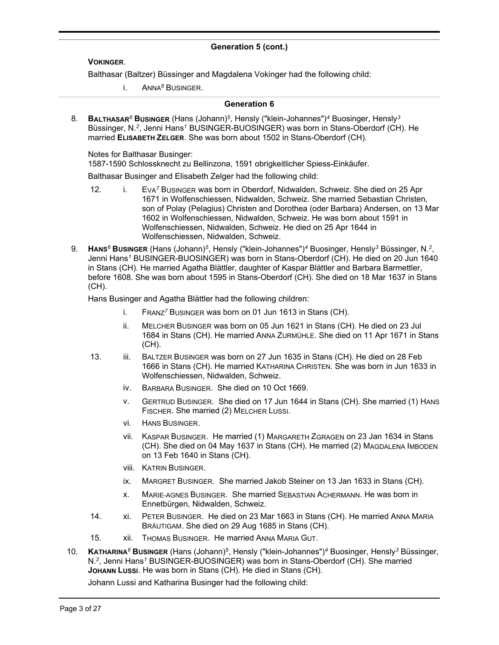#### **VOKINGER**.

Balthasar (Baltzer) Büssinger and Magdalena Vokinger had the following child:

i. ANNA*<sup>6</sup>* BUSINGER.

#### **Generation 6**

8. **BALTHASAR***<sup>6</sup>* **BUSINGER** (Hans (Johann)*<sup>5</sup>* , Hensly ("klein-Johannes")*<sup>4</sup>* Buosinger, Hensly*<sup>3</sup>* Büssinger, N.*<sup>2</sup>* , Jenni Hans*<sup>1</sup>* BUSINGER-BUOSINGER) was born in Stans-Oberdorf (CH). He married **ELISABETH ZELGER**. She was born about 1502 in Stans-Oberdorf (CH).

Notes for Balthasar Businger:

1587-1590 Schlossknecht zu Bellinzona, 1591 obrigkeitlicher Spiess-Einkäufer.

Balthasar Businger and Elisabeth Zelger had the following child:

- 12. i. EVA*<sup>7</sup>* BUSINGER was born in Oberdorf, Nidwalden, Schweiz. She died on 25 Apr 1671 in Wolfenschiessen, Nidwalden, Schweiz. She married Sebastian Christen, son of Polay (Pelagius) Christen and Dorothea (oder Barbara) Andersen, on 13 Mar 1602 in Wolfenschiessen, Nidwalden, Schweiz. He was born about 1591 in Wolfenschiessen, Nidwalden, Schweiz. He died on 25 Apr 1644 in Wolfenschiessen, Nidwalden, Schweiz.
- 9. **HANS***<sup>6</sup>* **BUSINGER** (Hans (Johann)*<sup>5</sup>* , Hensly ("klein-Johannes")*<sup>4</sup>* Buosinger, Hensly*<sup>3</sup>* Büssinger, N.*<sup>2</sup>* , Jenni Hans*<sup>1</sup>* BUSINGER-BUOSINGER) was born in Stans-Oberdorf (CH). He died on 20 Jun 1640 in Stans (CH). He married Agatha Blättler, daughter of Kaspar Blättler and Barbara Barmettler, before 1608. She was born about 1595 in Stans-Oberdorf (CH). She died on 18 Mar 1637 in Stans (CH).

Hans Businger and Agatha Blättler had the following children:

- i. FRANZ*<sup>7</sup>* BUSINGER was born on 01 Jun 1613 in Stans (CH).
- ii. MELCHER BUSINGER was born on 05 Jun 1621 in Stans (CH). He died on 23 Jul 1684 in Stans (CH). He married ANNA ZURMÜHLE. She died on 11 Apr 1671 in Stans (CH).
- 13. iii. BALTZER BUSINGER was born on 27 Jun 1635 in Stans (CH). He died on 28 Feb 1666 in Stans (CH). He married KATHARINA CHRISTEN. She was born in Jun 1633 in Wolfenschiessen, Nidwalden, Schweiz.
	- iv. BARBARA BUSINGER. She died on 10 Oct 1669.
	- v. GERTRUD BUSINGER. She died on 17 Jun 1644 in Stans (CH). She married (1) HANS FISCHER. She married (2) MELCHER LUSSI.
	- vi. HANS BUSINGER.
	- vii. KASPAR BUSINGER. He married (1) MARGARETH ZGRAGEN on 23 Jan 1634 in Stans (CH). She died on 04 May 1637 in Stans (CH). He married (2) MAGDALENA IMBODEN on 13 Feb 1640 in Stans (CH).
	- viii. KATRIN BUSINGER.
	- ix. MARGRET BUSINGER. She married Jakob Steiner on 13 Jan 1633 in Stans (CH).
	- x. MARIE-AGNES BUSINGER. She married SEBASTIAN ACHERMANN. He was born in Ennetbürgen, Nidwalden, Schweiz.
- 14. xi. PETER BUSINGER. He died on 23 Mar 1663 in Stans (CH). He married ANNA MARIA BRÄUTIGAM. She died on 29 Aug 1685 in Stans (CH).
- 15. Xii. THOMAS BUSINGER. He married ANNA MARIA GUT.
- 10. **KATHARINA***<sup>6</sup>* **BUSINGER** (Hans (Johann)*<sup>5</sup>* , Hensly ("klein-Johannes")*<sup>4</sup>* Buosinger, Hensly*<sup>3</sup>* Büssinger, N.*<sup>2</sup>* , Jenni Hans*<sup>1</sup>* BUSINGER-BUOSINGER) was born in Stans-Oberdorf (CH). She married **JOHANN LUSSI**. He was born in Stans (CH). He died in Stans (CH).

Johann Lussi and Katharina Businger had the following child: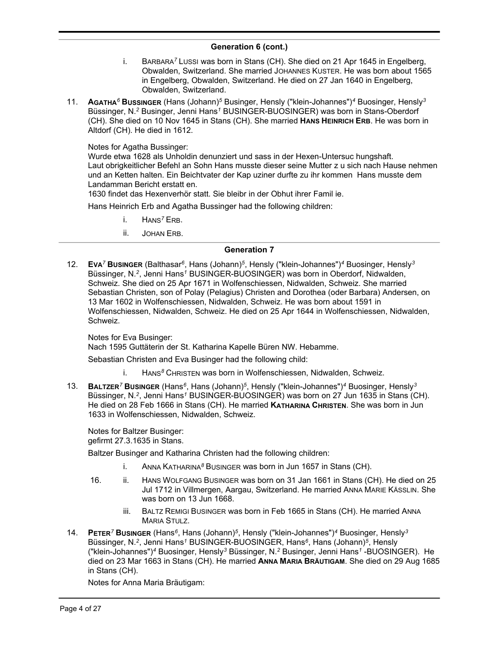- i. BARBARA*<sup>7</sup>* LUSSI was born in Stans (CH). She died on 21 Apr 1645 in Engelberg, Obwalden, Switzerland. She married JOHANNES KUSTER. He was born about 1565 in Engelberg, Obwalden, Switzerland. He died on 27 Jan 1640 in Engelberg, Obwalden, Switzerland.
- 11. **AGATHA***<sup>6</sup>* **BUSSINGER** (Hans (Johann)*<sup>5</sup>* Businger, Hensly ("klein-Johannes")*<sup>4</sup>* Buosinger, Hensly*<sup>3</sup>* Büssinger, N.*<sup>2</sup>* Businger, Jenni Hans*<sup>1</sup>* BUSINGER-BUOSINGER) was born in Stans-Oberdorf (CH). She died on 10 Nov 1645 in Stans (CH). She married **HANS HEINRICH ERB**. He was born in Altdorf (CH). He died in 1612.

Notes for Agatha Bussinger:

Wurde etwa 1628 als Unholdin denunziert und sass in der Hexen-Untersuc hungshaft. Laut obrigkeitlicher Befehl an Sohn Hans musste dieser seine Mutter z u sich nach Hause nehmen und an Ketten halten. Ein Beichtvater der Kap uziner durfte zu ihr kommen Hans musste dem Landamman Bericht erstatt en.

1630 findet das Hexenverhör statt. Sie bleibr in der Obhut ihrer Famil ie.

Hans Heinrich Erb and Agatha Bussinger had the following children:

- i. HANS*<sup>7</sup>* ERB.
- ii. JOHAN ERB.

#### **Generation 7**

12. **EVA***<sup>7</sup>* **BUSINGER** (Balthasar*<sup>6</sup>* , Hans (Johann)*<sup>5</sup>* , Hensly ("klein-Johannes")*<sup>4</sup>* Buosinger, Hensly*<sup>3</sup>* Büssinger, N.*<sup>2</sup>* , Jenni Hans*<sup>1</sup>* BUSINGER-BUOSINGER) was born in Oberdorf, Nidwalden, Schweiz. She died on 25 Apr 1671 in Wolfenschiessen, Nidwalden, Schweiz. She married Sebastian Christen, son of Polay (Pelagius) Christen and Dorothea (oder Barbara) Andersen, on 13 Mar 1602 in Wolfenschiessen, Nidwalden, Schweiz. He was born about 1591 in Wolfenschiessen, Nidwalden, Schweiz. He died on 25 Apr 1644 in Wolfenschiessen, Nidwalden, Schweiz.

Notes for Eva Businger: Nach 1595 Guttäterin der St. Katharina Kapelle Büren NW. Hebamme.

Sebastian Christen and Eva Businger had the following child:

- i. HANS*<sup>8</sup>* CHRISTEN was born in Wolfenschiessen, Nidwalden, Schweiz.
- 13. **BALTZER***<sup>7</sup>* **BUSINGER** (Hans*<sup>6</sup>* , Hans (Johann)*<sup>5</sup>* , Hensly ("klein-Johannes")*<sup>4</sup>* Buosinger, Hensly*<sup>3</sup>* Büssinger, N.*<sup>2</sup>* , Jenni Hans*<sup>1</sup>* BUSINGER-BUOSINGER) was born on 27 Jun 1635 in Stans (CH). He died on 28 Feb 1666 in Stans (CH). He married **KATHARINA CHRISTEN**. She was born in Jun 1633 in Wolfenschiessen, Nidwalden, Schweiz.

Notes for Baltzer Businger: gefirmt 27.3.1635 in Stans.

Baltzer Businger and Katharina Christen had the following children:

- i. ANNA KATHARINA*<sup>8</sup>* BUSINGER was born in Jun 1657 in Stans (CH).
- 16. ii. HANS WOLFGANG BUSINGER was born on 31 Jan 1661 in Stans (CH). He died on 25 Jul 1712 in Villmergen, Aargau, Switzerland. He married ANNA MARIE KÄSSLIN. She was born on 13 Jun 1668.
	- iii. BALTZ REMIGI BUSINGER was born in Feb 1665 in Stans (CH). He married ANNA MARIA STULZ.
- 14. **PETER***<sup>7</sup>* **BUSINGER** (Hans*<sup>6</sup>* , Hans (Johann)*<sup>5</sup>* , Hensly ("klein-Johannes")*<sup>4</sup>* Buosinger, Hensly*<sup>3</sup>* Büssinger, N.*<sup>2</sup>* , Jenni Hans*<sup>1</sup>* BUSINGER-BUOSINGER, Hans*<sup>6</sup>* , Hans (Johann)*<sup>5</sup>* , Hensly ("klein-Johannes")*<sup>4</sup>* Buosinger, Hensly*<sup>3</sup>* Büssinger, N.*<sup>2</sup>* Businger, Jenni Hans*<sup>1</sup>* -BUOSINGER). He died on 23 Mar 1663 in Stans (CH). He married **ANNA MARIA BRÄUTIGAM**. She died on 29 Aug 1685 in Stans (CH).

Notes for Anna Maria Bräutigam: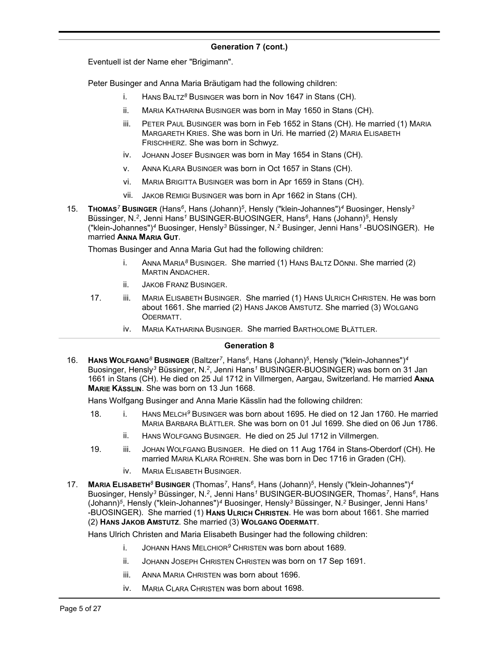Eventuell ist der Name eher "Brigimann".

Peter Businger and Anna Maria Bräutigam had the following children:

- i. HANS BALTZ*<sup>8</sup>* BUSINGER was born in Nov 1647 in Stans (CH).
- ii. MARIA KATHARINA BUSINGER was born in May 1650 in Stans (CH).
- iii. PETER PAUL BUSINGER was born in Feb 1652 in Stans (CH). He married (1) MARIA MARGARETH KRIES. She was born in Uri. He married (2) MARIA ELISABETH FRISCHHERZ. She was born in Schwyz.
- iv. JOHANN JOSEF BUSINGER was born in May 1654 in Stans (CH).
- v. ANNA KLARA BUSINGER was born in Oct 1657 in Stans (CH).
- vi. MARIA BRIGITTA BUSINGER was born in Apr 1659 in Stans (CH).
- vii. JAKOB REMIGI BUSINGER was born in Apr 1662 in Stans (CH).
- 15. **THOMAS***<sup>7</sup>* **BUSINGER** (Hans*<sup>6</sup>* , Hans (Johann)*<sup>5</sup>* , Hensly ("klein-Johannes")*<sup>4</sup>* Buosinger, Hensly*<sup>3</sup>* Büssinger, N.*<sup>2</sup>* , Jenni Hans*<sup>1</sup>* BUSINGER-BUOSINGER, Hans*<sup>6</sup>* , Hans (Johann)*<sup>5</sup>* , Hensly ("klein-Johannes")*<sup>4</sup>* Buosinger, Hensly*<sup>3</sup>* Büssinger, N.*<sup>2</sup>* Businger, Jenni Hans*<sup>1</sup>* -BUOSINGER). He married **ANNA MARIA GUT**.

Thomas Businger and Anna Maria Gut had the following children:

- i. ANNA MARIA*<sup>8</sup>* BUSINGER. She married (1) HANS BALTZ DÖNNI. She married (2) MARTIN ANDACHER.
- ii. JAKOB FRANZ BUSINGER.
- 17. iii. MARIA ELISABETH BUSINGER. She married (1) HANS ULRICH CHRISTEN. He was born about 1661. She married (2) HANS JAKOB AMSTUTZ. She married (3) WOLGANG ODERMATT.
	- iv. MARIA KATHARINA BUSINGER. She married BARTHOLOME BLÄTTLER.

#### **Generation 8**

16. **HANS WOLFGANG***<sup>8</sup>* **BUSINGER** (Baltzer*<sup>7</sup>* , Hans*<sup>6</sup>* , Hans (Johann)*<sup>5</sup>* , Hensly ("klein-Johannes")*<sup>4</sup>* Buosinger, Hensly*<sup>3</sup>* Büssinger, N.*<sup>2</sup>* , Jenni Hans*<sup>1</sup>* BUSINGER-BUOSINGER) was born on 31 Jan 1661 in Stans (CH). He died on 25 Jul 1712 in Villmergen, Aargau, Switzerland. He married **ANNA MARIE KÄSSLIN**. She was born on 13 Jun 1668.

Hans Wolfgang Businger and Anna Marie Kässlin had the following children:

- 18. i. HANS MELCH*<sup>9</sup>* BUSINGER was born about 1695. He died on 12 Jan 1760. He married MARIA BARBARA BLÄTTLER. She was born on 01 Jul 1699. She died on 06 Jun 1786.
	- ii. HANS WOLFGANG BUSINGER. He died on 25 Jul 1712 in Villmergen.
- 19. iii. JOHAN WOLFGANG BUSINGER. He died on 11 Aug 1764 in Stans-Oberdorf (CH). He married MARIA KLARA ROHREN. She was born in Dec 1716 in Graden (CH).
	- iv. MARIA ELISABETH BUSINGER.
- 17. **MARIA ELISABETH***<sup>8</sup>* **BUSINGER** (Thomas*<sup>7</sup>* , Hans*<sup>6</sup>* , Hans (Johann)*<sup>5</sup>* , Hensly ("klein-Johannes")*<sup>4</sup>* Buosinger, Hensly<sup>3</sup> Büssinger, N.<sup>2</sup>, Jenni Hans<sup>1</sup> BUSINGER-BUOSINGER, Thomas<sup>7</sup>, Hans<sup>6</sup>, Hans (Johann)*<sup>5</sup>* , Hensly ("klein-Johannes")*<sup>4</sup>* Buosinger, Hensly*<sup>3</sup>* Büssinger, N.*<sup>2</sup>* Businger, Jenni Hans*<sup>1</sup>* -BUOSINGER). She married (1) **HANS ULRICH CHRISTEN**. He was born about 1661. She married (2) **HANS JAKOB AMSTUTZ**. She married (3) **WOLGANG ODERMATT**.

Hans Ulrich Christen and Maria Elisabeth Businger had the following children:

- i. JOHANN HANS MELCHIOR*<sup>9</sup>* CHRISTEN was born about 1689.
- ii. JOHANN JOSEPH CHRISTEN CHRISTEN was born on 17 Sep 1691.
- iii. ANNA MARIA CHRISTEN was born about 1696.
- iv. MARIA CLARA CHRISTEN was born about 1698.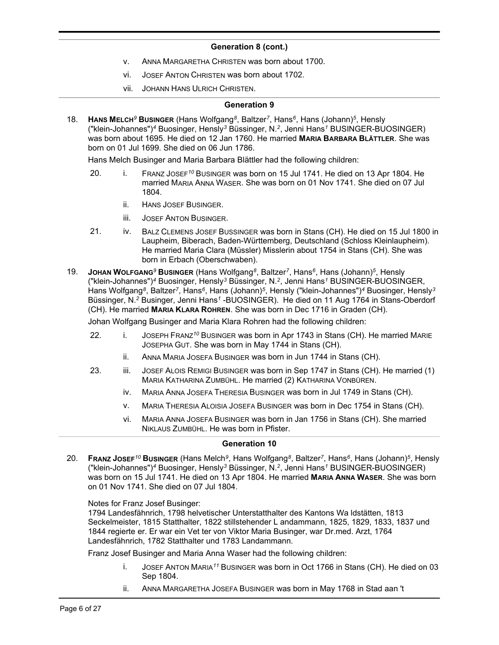- v. ANNA MARGARETHA CHRISTEN was born about 1700.
- vi. JOSEF ANTON CHRISTEN was born about 1702.
- vii. JOHANN HANS ULRICH CHRISTEN.

#### **Generation 9**

18. **HANS MELCH***<sup>9</sup>* **BUSINGER** (Hans Wolfgang*<sup>8</sup>* , Baltzer*<sup>7</sup>* , Hans*<sup>6</sup>* , Hans (Johann)*<sup>5</sup>* , Hensly ("klein-Johannes")*<sup>4</sup>* Buosinger, Hensly*<sup>3</sup>* Büssinger, N.*<sup>2</sup>* , Jenni Hans*<sup>1</sup>* BUSINGER-BUOSINGER) was born about 1695. He died on 12 Jan 1760. He married **MARIA BARBARA BLÄTTLER**. She was born on 01 Jul 1699. She died on 06 Jun 1786.

Hans Melch Businger and Maria Barbara Blättler had the following children:

- 20. i. FRANZ JOSEF*<sup>10</sup>* BUSINGER was born on 15 Jul 1741. He died on 13 Apr 1804. He married MARIA ANNA WASER. She was born on 01 Nov 1741. She died on 07 Jul 1804.
	- ii. HANS JOSEF BUSINGER.
	- iii. JOSEF ANTON BUSINGER.
- 21. iv. BALZ CLEMENS JOSEF BUSSINGER was born in Stans (CH). He died on 15 Jul 1800 in Laupheim, Biberach, Baden-Württemberg, Deutschland (Schloss Kleinlaupheim). He married Maria Clara (Müssler) Misslerin about 1754 in Stans (CH). She was born in Erbach (Oberschwaben).
- 19. **JOHAN WOLFGANG***<sup>9</sup>* **BUSINGER** (Hans Wolfgang*<sup>8</sup>* , Baltzer*<sup>7</sup>* , Hans*<sup>6</sup>* , Hans (Johann)*<sup>5</sup>* , Hensly ("klein-Johannes")*<sup>4</sup>* Buosinger, Hensly*<sup>3</sup>* Büssinger, N.*<sup>2</sup>* , Jenni Hans*<sup>1</sup>* BUSINGER-BUOSINGER, Hans Wolfgang<sup>8</sup>, Baltzer<sup>7</sup>, Hans<sup>6</sup>, Hans (Johann)<sup>5</sup>, Hensly ("klein-Johannes")<sup>4</sup> Buosinger, Hensly<sup>3</sup> Büssinger, N.*<sup>2</sup>* Businger, Jenni Hans*<sup>1</sup>* -BUOSINGER). He died on 11 Aug 1764 in Stans-Oberdorf (CH). He married **MARIA KLARA ROHREN**. She was born in Dec 1716 in Graden (CH).

Johan Wolfgang Businger and Maria Klara Rohren had the following children:

- 22. i. JOSEPH FRANZ*<sup>10</sup>* BUSINGER was born in Apr 1743 in Stans (CH). He married MARIE JOSEPHA GUT. She was born in May 1744 in Stans (CH).
	- ii. ANNA MARIA JOSEFA BUSINGER was born in Jun 1744 in Stans (CH).
- 23. iii. JOSEF ALOIS REMIGI BUSINGER was born in Sep 1747 in Stans (CH). He married (1) MARIA KATHARINA ZUMBÜHL. He married (2) KATHARINA VONBÜREN.
	- iv. MARIA ANNA JOSEFA THERESIA BUSINGER was born in Jul 1749 in Stans (CH).
	- v. MARIA THERESIA ALOISIA JOSEFA BUSINGER was born in Dec 1754 in Stans (CH).
	- vi. MARIA ANNA JOSEFA BUSINGER was born in Jan 1756 in Stans (CH). She married NIKLAUS ZUMBÜHL. He was born in Pfister.

#### **Generation 10**

20. **FRANZ JOSEF***<sup>10</sup>* **BUSINGER** (Hans Melch*<sup>9</sup>* , Hans Wolfgang*<sup>8</sup>* , Baltzer*<sup>7</sup>* , Hans*<sup>6</sup>* , Hans (Johann)*<sup>5</sup>* , Hensly ("klein-Johannes")*<sup>4</sup>* Buosinger, Hensly*<sup>3</sup>* Büssinger, N.*<sup>2</sup>* , Jenni Hans*<sup>1</sup>* BUSINGER-BUOSINGER) was born on 15 Jul 1741. He died on 13 Apr 1804. He married **MARIA ANNA WASER**. She was born on 01 Nov 1741. She died on 07 Jul 1804.

Notes for Franz Josef Businger:

1794 Landesfähnrich, 1798 helvetischer Unterstatthalter des Kantons Wa ldstätten, 1813 Seckelmeister, 1815 Statthalter, 1822 stillstehender L andammann, 1825, 1829, 1833, 1837 und 1844 regierte er. Er war ein Vet ter von Viktor Maria Businger, war Dr.med. Arzt, 1764 Landesfähnrich, 1782 Statthalter und 1783 Landammann.

Franz Josef Businger and Maria Anna Waser had the following children:

- i. JOSEF ANTON MARIA*<sup>11</sup>* BUSINGER was born in Oct 1766 in Stans (CH). He died on 03 Sep 1804.
- ii. ANNA MARGARETHA JOSEFA BUSINGER was born in May 1768 in Stad aan 't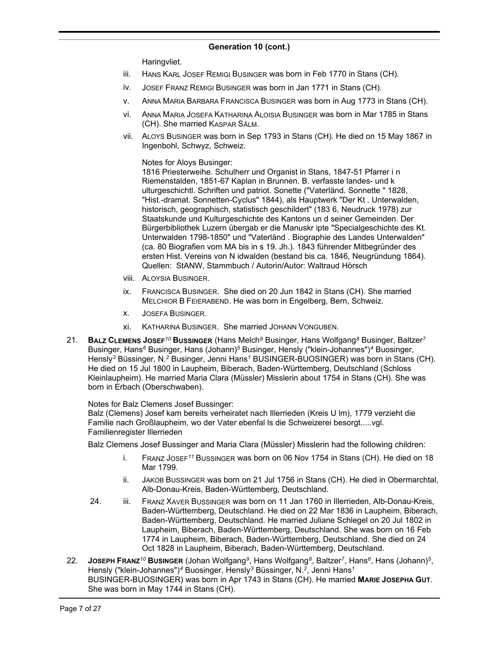Haringvliet.

- iii. HANS KARL JOSEF REMIGI BUSINGER was born in Feb 1770 in Stans (CH).
- iv. JOSEF FRANZ REMIGI BUSINGER was born in Jan 1771 in Stans (CH).
- v. ANNA MARIA BARBARA FRANCISCA BUSINGER was born in Aug 1773 in Stans (CH).
- vi. ANNA MARIA JOSEFA KATHARINA ALOISIA BUSINGER was born in Mar 1785 in Stans (CH). She married KASPAR SÄLM.
- vii. ALOYS BUSINGER was born in Sep 1793 in Stans (CH). He died on 15 May 1867 in Ingenbohl, Schwyz, Schweiz.

Notes for Aloys Businger:

1816 Priesterweihe. Schulherr und Organist in Stans, 1847-51 Pfarrer i n Riemenstalden, 1851-67 Kaplan in Brunnen. B. verfasste landes- und k ulturgeschichtl. Schriften und patriot. Sonette ("Vaterländ. Sonnette " 1828, "Hist.-dramat. Sonnetten-Cyclus" 1844), als Hauptwerk "Der Kt . Unterwalden, historisch, geographisch, statistisch geschildert" (183 6, Neudruck 1978) zur Staatskunde und Kulturgeschichte des Kantons un d seiner Gemeinden. Der Bürgerbibliothek Luzern übergab er die Manuskr ipte "Specialgeschichte des Kt. Unterwalden 1798-1850" und "Vaterländ . Biographie des Landes Unterwalden" (ca. 80 Biografien vom MA bis in s 19. Jh.). 1843 führender Mitbegründer des ersten Hist. Vereins von N idwalden (bestand bis ca. 1846, Neugründung 1864). Quellen: StANW, Stammbuch / Autorin/Autor: Waltraud Hörsch

- viii. ALOYSIA BUSINGER.
- ix. FRANCISCA BUSINGER. She died on 20 Jun 1842 in Stans (CH). She married MELCHIOR B FEIERABEND. He was born in Engelberg, Bern, Schweiz.
- x. JOSEFA BUSINGER.
- xi. KATHARINA BUSINGER. She married JOHANN VONGUBEN.
- 21. **BALZ CLEMENS JOSEF***<sup>10</sup>* **BUSSINGER** (Hans Melch*<sup>9</sup>* Businger, Hans Wolfgang*<sup>8</sup>* Businger, Baltzer*<sup>7</sup>* Businger, Hans*<sup>6</sup>* Businger, Hans (Johann)*<sup>5</sup>* Businger, Hensly ("klein-Johannes")*<sup>4</sup>* Buosinger, Hensly*<sup>3</sup>* Büssinger, N.*<sup>2</sup>* Businger, Jenni Hans*<sup>1</sup>* BUSINGER-BUOSINGER) was born in Stans (CH). He died on 15 Jul 1800 in Laupheim, Biberach, Baden-Württemberg, Deutschland (Schloss Kleinlaupheim). He married Maria Clara (Müssler) Misslerin about 1754 in Stans (CH). She was born in Erbach (Oberschwaben).

Notes for Balz Clemens Josef Bussinger:

Balz (Clemens) Josef kam bereits verheiratet nach Illerrieden (Kreis U lm), 1779 verzieht die Familie nach Großlaupheim, wo der Vater ebenfal ls die Schweizerei besorgt.....vgl. Familienregister Illerrieden

Balz Clemens Josef Bussinger and Maria Clara (Müssler) Misslerin had the following children:

- i. FRANZ JOSEF*<sup>11</sup>* BUSSINGER was born on 06 Nov 1754 in Stans (CH). He died on 18 Mar 1799.
- ii. JAKOB BUSSINGER was born on 21 Jul 1756 in Stans (CH). He died in Obermarchtal, Alb-Donau-Kreis, Baden-Württemberg, Deutschland.
- 24. iii. FRANZ XAVER BUSSINGER was born on 11 Jan 1760 in Illerrieden, Alb-Donau-Kreis, Baden-Württemberg, Deutschland. He died on 22 Mar 1836 in Laupheim, Biberach, Baden-Württemberg, Deutschland. He married Juliane Schlegel on 20 Jul 1802 in Laupheim, Biberach, Baden-Württemberg, Deutschland. She was born on 16 Feb 1774 in Laupheim, Biberach, Baden-Württemberg, Deutschland. She died on 24 Oct 1828 in Laupheim, Biberach, Baden-Württemberg, Deutschland.
- 22. **Josepн Fr<code>Anz</code><sup>10</sup> <code>BusɪnGER</code> (Johan Wolfgang<sup>9</sup>, Hans Wolfgang<sup>8</sup>, Baltzer<sup>7</sup>, Hans<sup>6</sup>, Hans (Johann)<sup>5</sup>,** Hensly ("klein-Johannes")*<sup>4</sup>* Buosinger, Hensly*<sup>3</sup>* Büssinger, N.*<sup>2</sup>* , Jenni Hans*<sup>1</sup>* BUSINGER-BUOSINGER) was born in Apr 1743 in Stans (CH). He married **MARIE JOSEPHA GUT**. She was born in May 1744 in Stans (CH).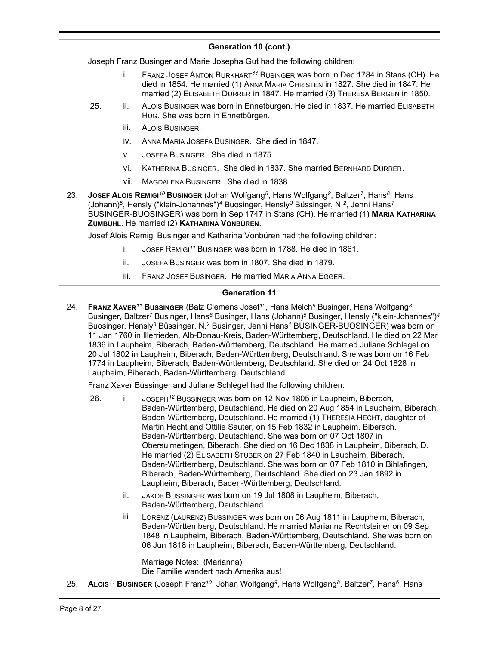Joseph Franz Businger and Marie Josepha Gut had the following children:

- i. FRANZ JOSEF ANTON BURKHART*<sup>11</sup>* BUSINGER was born in Dec 1784 in Stans (CH). He died in 1854. He married (1) ANNA MARIA CHRISTEN in 1827. She died in 1847. He married (2) ELISABETH DURRER in 1847. He married (3) THERESA BERGEN in 1850.
- 25. ii. ALOIS BUSINGER was born in Ennetburgen. He died in 1837. He married ELISABETH HUG. She was born in Ennetbürgen.
	- iii. ALOIS BUSINGER.
	- iv. ANNA MARIA JOSEFA BUSINGER. She died in 1847.
	- v. JOSEFA BUSINGER. She died in 1875.
	- vi. KATHERINA BUSINGER. She died in 1837. She married BERNHARD DURRER.
	- vii. MAGDALENA BUSINGER. She died in 1838.
- 23. **JOSEF ALOIS REMIGI***<sup>10</sup>* **BUSINGER** (Johan Wolfgang*<sup>9</sup>* , Hans Wolfgang*<sup>8</sup>* , Baltzer*<sup>7</sup>* , Hans*<sup>6</sup>* , Hans (Johann)*<sup>5</sup>* , Hensly ("klein-Johannes")*<sup>4</sup>* Buosinger, Hensly*<sup>3</sup>* Büssinger, N.*<sup>2</sup>* , Jenni Hans*<sup>1</sup>* BUSINGER-BUOSINGER) was born in Sep 1747 in Stans (CH). He married (1) **MARIA KATHARINA ZUMBÜHL**. He married (2) **KATHARINA VONBÜREN**.

Josef Alois Remigi Businger and Katharina Vonbüren had the following children:

- i. JOSEF REMIGI*<sup>11</sup>* BUSINGER was born in 1788. He died in 1861.
- ii. JOSEFA BUSINGER was born in 1807. She died in 1879.
- iii. FRANZ JOSEF BUSINGER. He married MARIA ANNA EGGER.

#### **Generation 11**

24. **FRANZ XAVER***<sup>11</sup>* **BUSSINGER** (Balz Clemens Josef*<sup>10</sup>* , Hans Melch*<sup>9</sup>* Businger, Hans Wolfgang*<sup>8</sup>* Businger, Baltzer*<sup>7</sup>* Businger, Hans*<sup>6</sup>* Businger, Hans (Johann)*<sup>5</sup>* Businger, Hensly ("klein-Johannes")*<sup>4</sup>* Buosinger, Hensly*<sup>3</sup>* Büssinger, N.*<sup>2</sup>* Businger, Jenni Hans*<sup>1</sup>* BUSINGER-BUOSINGER) was born on 11 Jan 1760 in Illerrieden, Alb-Donau-Kreis, Baden-Württemberg, Deutschland. He died on 22 Mar 1836 in Laupheim, Biberach, Baden-Württemberg, Deutschland. He married Juliane Schlegel on 20 Jul 1802 in Laupheim, Biberach, Baden-Württemberg, Deutschland. She was born on 16 Feb 1774 in Laupheim, Biberach, Baden-Württemberg, Deutschland. She died on 24 Oct 1828 in Laupheim, Biberach, Baden-Württemberg, Deutschland.

Franz Xaver Bussinger and Juliane Schlegel had the following children:

- 26. i. JOSEPH*<sup>12</sup>* BUSSINGER was born on 12 Nov 1805 in Laupheim, Biberach, Baden-Württemberg, Deutschland. He died on 20 Aug 1854 in Laupheim, Biberach, Baden-Württemberg, Deutschland. He married (1) THERESIA HECHT, daughter of Martin Hecht and Ottilie Sauter, on 15 Feb 1832 in Laupheim, Biberach, Baden-Württemberg, Deutschland. She was born on 07 Oct 1807 in Obersulmetingen, Biberach. She died on 16 Dec 1838 in Laupheim, Biberach, D. He married (2) ELISABETH STUBER on 27 Feb 1840 in Laupheim, Biberach, Baden-Württemberg, Deutschland. She was born on 07 Feb 1810 in Bihlafingen, Biberach, Baden-Württemberg, Deutschland. She died on 23 Jan 1892 in Laupheim, Biberach, Baden-Württemberg, Deutschland.
	- ii. JAKOB BUSSINGER was born on 19 Jul 1808 in Laupheim, Biberach, Baden-Württemberg, Deutschland.
	- iii. LORENZ (LAURENZ) BUSSINGER was born on 06 Aug 1811 in Laupheim, Biberach, Baden-Württemberg, Deutschland. He married Marianna Rechtsteiner on 09 Sep 1848 in Laupheim, Biberach, Baden-Württemberg, Deutschland. She was born on 06 Jun 1818 in Laupheim, Biberach, Baden-Württemberg, Deutschland.

Marriage Notes: (Marianna) Die Familie wandert nach Amerika aus!

25. **A<code>Loɪs<sup>11</sup> Busɪngɛʀ (Joseph Franz** $^{10}$ **, Johan Wolfgang<sup>9</sup>, Hans Wolfgang<sup>8</sup>, Baltzer<sup>7</sup>, Hans<sup>6</sup>, Hans**</code>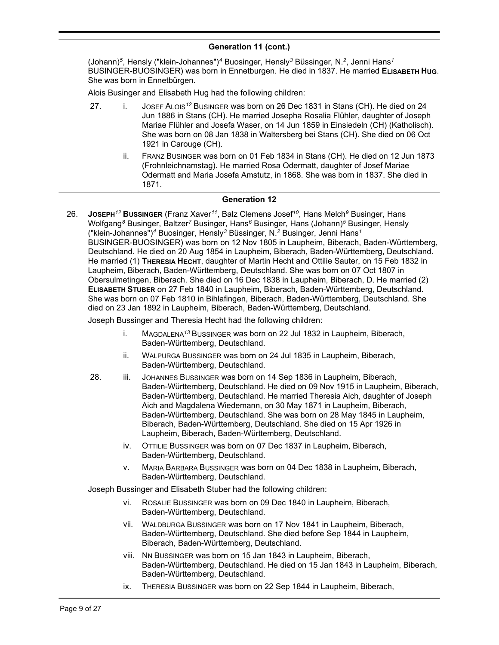#### **Generation 11 (cont.)** , Hans Wolfgang*<sup>8</sup>*

(Johann)*<sup>5</sup>* , Hensly ("klein-Johannes")*<sup>4</sup>* Buosinger, Hensly*<sup>3</sup>* Büssinger, N.*<sup>2</sup>* , Jenni Hans*<sup>1</sup>* BUSINGER-BUOSINGER) was born in Ennetburgen. He died in 1837. He married **ELISABETH HUG**. She was born in Ennetbürgen.

Alois Businger and Elisabeth Hug had the following children:

- 27. i. JOSEF ALOIS*<sup>12</sup>* BUSINGER was born on 26 Dec 1831 in Stans (CH). He died on 24 Jun 1886 in Stans (CH). He married Josepha Rosalia Flühler, daughter of Joseph Mariae Flühler and Josefa Waser, on 14 Jun 1859 in Einsiedeln (CH) (Katholisch). She was born on 08 Jan 1838 in Waltersberg bei Stans (CH). She died on 06 Oct 1921 in Carouge (CH).
	- ii. FRANZ BUSINGER was born on 01 Feb 1834 in Stans (CH). He died on 12 Jun 1873 (Frohnleichnamstag). He married Rosa Odermatt, daughter of Josef Mariae Odermatt and Maria Josefa Amstutz, in 1868. She was born in 1837. She died in 1871.

#### **Generation 12**

26. **JOSEPH***<sup>12</sup>* **BUSSINGER** (Franz Xaver*<sup>11</sup>* , Balz Clemens Josef*<sup>10</sup>* , Hans Melch*<sup>9</sup>* Businger, Hans Wolfgang*<sup>8</sup>* Businger, Baltzer*<sup>7</sup>* Businger, Hans*<sup>6</sup>* Businger, Hans (Johann)*<sup>5</sup>* Businger, Hensly ("klein-Johannes")*<sup>4</sup>* Buosinger, Hensly*<sup>3</sup>* Büssinger, N.*<sup>2</sup>* Businger, Jenni Hans*<sup>1</sup>* BUSINGER-BUOSINGER) was born on 12 Nov 1805 in Laupheim, Biberach, Baden-Württemberg, Deutschland. He died on 20 Aug 1854 in Laupheim, Biberach, Baden-Württemberg, Deutschland. He married (1) **THERESIA HECHT**, daughter of Martin Hecht and Ottilie Sauter, on 15 Feb 1832 in Laupheim, Biberach, Baden-Württemberg, Deutschland. She was born on 07 Oct 1807 in Obersulmetingen, Biberach. She died on 16 Dec 1838 in Laupheim, Biberach, D. He married (2) **ELISABETH STUBER** on 27 Feb 1840 in Laupheim, Biberach, Baden-Württemberg, Deutschland. She was born on 07 Feb 1810 in Bihlafingen, Biberach, Baden-Württemberg, Deutschland. She died on 23 Jan 1892 in Laupheim, Biberach, Baden-Württemberg, Deutschland.

Joseph Bussinger and Theresia Hecht had the following children:

- i. MAGDALENA*<sup>13</sup>* BUSSINGER was born on 22 Jul 1832 in Laupheim, Biberach, Baden-Württemberg, Deutschland.
- ii. WALPURGA BUSSINGER was born on 24 Jul 1835 in Laupheim, Biberach, Baden-Württemberg, Deutschland.
- 28. iii. JOHANNES BUSSINGER was born on 14 Sep 1836 in Laupheim, Biberach, Baden-Württemberg, Deutschland. He died on 09 Nov 1915 in Laupheim, Biberach, Baden-Württemberg, Deutschland. He married Theresia Aich, daughter of Joseph Aich and Magdalena Wiedemann, on 30 May 1871 in Laupheim, Biberach, Baden-Württemberg, Deutschland. She was born on 28 May 1845 in Laupheim, Biberach, Baden-Württemberg, Deutschland. She died on 15 Apr 1926 in Laupheim, Biberach, Baden-Württemberg, Deutschland.
	- iv. OTTILIE BUSSINGER was born on 07 Dec 1837 in Laupheim, Biberach, Baden-Württemberg, Deutschland.
	- v. MARIA BARBARA BUSSINGER was born on 04 Dec 1838 in Laupheim, Biberach, Baden-Württemberg, Deutschland.

Joseph Bussinger and Elisabeth Stuber had the following children:

- vi. ROSALIE BUSSINGER was born on 09 Dec 1840 in Laupheim, Biberach, Baden-Württemberg, Deutschland.
- vii. WALDBURGA BUSSINGER was born on 17 Nov 1841 in Laupheim, Biberach, Baden-Württemberg, Deutschland. She died before Sep 1844 in Laupheim, Biberach, Baden-Württemberg, Deutschland.
- viii. NN BUSSINGER was born on 15 Jan 1843 in Laupheim, Biberach, Baden-Württemberg, Deutschland. He died on 15 Jan 1843 in Laupheim, Biberach, Baden-Württemberg, Deutschland.
- ix. THERESIA BUSSINGER was born on 22 Sep 1844 in Laupheim, Biberach,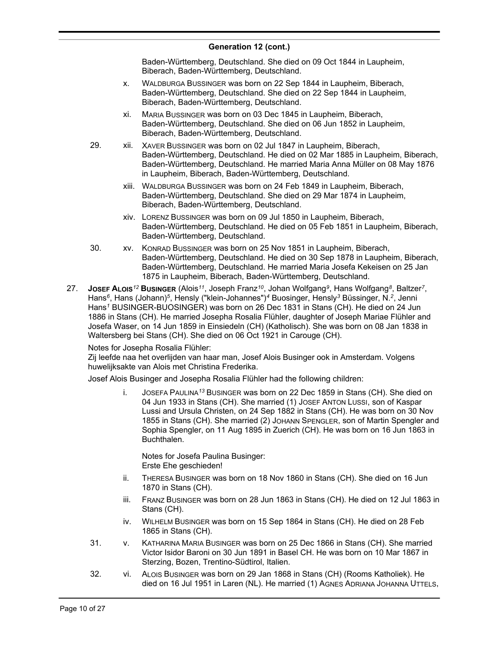Baden-Württemberg, Deutschland. She died on 09 Oct 1844 in Laupheim, Biberach, Baden-Württemberg, Deutschland.

- x. WALDBURGA BUSSINGER was born on 22 Sep 1844 in Laupheim, Biberach, Baden-Württemberg, Deutschland. She died on 22 Sep 1844 in Laupheim, Biberach, Baden-Württemberg, Deutschland.
- xi. MARIA BUSSINGER was born on 03 Dec 1845 in Laupheim, Biberach, Baden-Württemberg, Deutschland. She died on 06 Jun 1852 in Laupheim, Biberach, Baden-Württemberg, Deutschland.
- 29. xii. XAVER BUSSINGER was born on 02 Jul 1847 in Laupheim, Biberach, Baden-Württemberg, Deutschland. He died on 02 Mar 1885 in Laupheim, Biberach, Baden-Württemberg, Deutschland. He married Maria Anna Müller on 08 May 1876 in Laupheim, Biberach, Baden-Württemberg, Deutschland.
	- xiii. WALDBURGA BUSSINGER was born on 24 Feb 1849 in Laupheim, Biberach, Baden-Württemberg, Deutschland. She died on 29 Mar 1874 in Laupheim, Biberach, Baden-Württemberg, Deutschland.
	- xiv. LORENZ BUSSINGER was born on 09 Jul 1850 in Laupheim, Biberach, Baden-Württemberg, Deutschland. He died on 05 Feb 1851 in Laupheim, Biberach, Baden-Württemberg, Deutschland.
- 30. xv. KONRAD BUSSINGER was born on 25 Nov 1851 in Laupheim, Biberach, Baden-Württemberg, Deutschland. He died on 30 Sep 1878 in Laupheim, Biberach, Baden-Württemberg, Deutschland. He married Maria Josefa Kekeisen on 25 Jan 1875 in Laupheim, Biberach, Baden-Württemberg, Deutschland.
- 27. **JOSEF ALOIS***<sup>12</sup>* **BUSINGER** (Alois*<sup>11</sup>* , Joseph Franz*<sup>10</sup>* , Johan Wolfgang*<sup>9</sup>* , Hans Wolfgang*<sup>8</sup>* , Baltzer*<sup>7</sup>* , Hans<sup>6</sup>, Hans (Johann)<sup>5</sup>, Hensly ("klein-Johannes")<sup>4</sup> Buosinger, Hensly<sup>3</sup> Büssinger, N.<sup>2</sup>, Jenni Hans*<sup>1</sup>* BUSINGER-BUOSINGER) was born on 26 Dec 1831 in Stans (CH). He died on 24 Jun 1886 in Stans (CH). He married Josepha Rosalia Flühler, daughter of Joseph Mariae Flühler and Josefa Waser, on 14 Jun 1859 in Einsiedeln (CH) (Katholisch). She was born on 08 Jan 1838 in Waltersberg bei Stans (CH). She died on 06 Oct 1921 in Carouge (CH).

Notes for Josepha Rosalia Flühler:

Zij leefde naa het overlijden van haar man, Josef Alois Businger ook in Amsterdam. Volgens huwelijksakte van Alois met Christina Frederika.

Josef Alois Businger and Josepha Rosalia Flühler had the following children:

i. JOSEFA PAULINA*<sup>13</sup>* BUSINGER was born on 22 Dec 1859 in Stans (CH). She died on 04 Jun 1933 in Stans (CH). She married (1) JOSEF ANTON LUSSI, son of Kaspar Lussi and Ursula Christen, on 24 Sep 1882 in Stans (CH). He was born on 30 Nov 1855 in Stans (CH). She married (2) JOHANN SPENGLER, son of Martin Spengler and Sophia Spengler, on 11 Aug 1895 in Zuerich (CH). He was born on 16 Jun 1863 in Buchthalen.

Notes for Josefa Paulina Businger: Erste Ehe geschieden!

- ii. THERESA BUSINGER was born on 18 Nov 1860 in Stans (CH). She died on 16 Jun 1870 in Stans (CH).
- iii. FRANZ BUSINGER was born on 28 Jun 1863 in Stans (CH). He died on 12 Jul 1863 in Stans (CH).
- iv. WILHELM BUSINGER was born on 15 Sep 1864 in Stans (CH). He died on 28 Feb 1865 in Stans (CH).
- 31. v. KATHARINA MARIA BUSINGER was born on 25 Dec 1866 in Stans (CH). She married Victor Isidor Baroni on 30 Jun 1891 in Basel CH. He was born on 10 Mar 1867 in Sterzing, Bozen, Trentino-Südtirol, Italien.
- 32. vi. ALOIS BUSINGER was born on 29 Jan 1868 in Stans (CH) (Rooms Katholiek). He died on 16 Jul 1951 in Laren (NL). He married (1) AGNES ADRIANA JOHANNA UTTELS,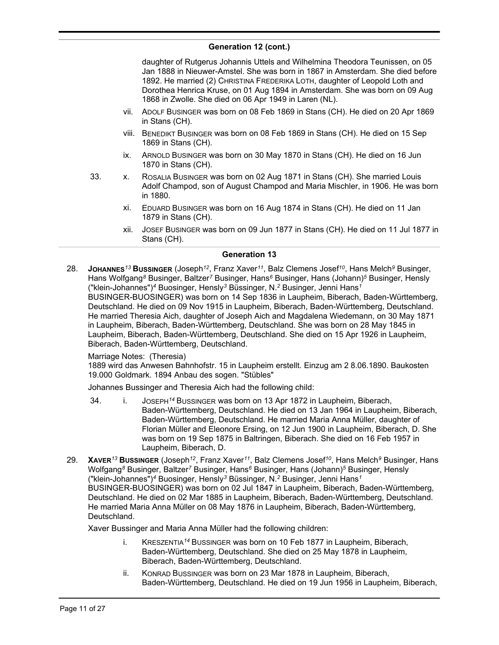daughter of Rutgerus Johannis Uttels and Wilhelmina Theodora Teunissen, on 05 Jan 1888 in Nieuwer-Amstel. She was born in 1867 in Amsterdam. She died before 1892. He married (2) CHRISTINA FREDERIKA LOTH, daughter of Leopold Loth and Dorothea Henrica Kruse, on 01 Aug 1894 in Amsterdam. She was born on 09 Aug 1868 in Zwolle. She died on 06 Apr 1949 in Laren (NL).

- vii. ADOLF BUSINGER was born on 08 Feb 1869 in Stans (CH). He died on 20 Apr 1869 in Stans (CH).
- viii. BENEDIKT BUSINGER was born on 08 Feb 1869 in Stans (CH). He died on 15 Sep 1869 in Stans (CH).
- ix. ARNOLD BUSINGER was born on 30 May 1870 in Stans (CH). He died on 16 Jun 1870 in Stans (CH).
- 33. x. ROSALIA BUSINGER was born on 02 Aug 1871 in Stans (CH). She married Louis Adolf Champod, son of August Champod and Maria Mischler, in 1906. He was born in 1880.
	- xi. EDUARD BUSINGER was born on 16 Aug 1874 in Stans (CH). He died on 11 Jan 1879 in Stans (CH).
	- xii. JOSEF BUSINGER was born on 09 Jun 1877 in Stans (CH). He died on 11 Jul 1877 in Stans (CH).

# **Generation 13**

28. **JOHANNES***<sup>13</sup>* **BUSSINGER** (Joseph*<sup>12</sup>* , Franz Xaver*<sup>11</sup>* , Balz Clemens Josef*<sup>10</sup>* , Hans Melch*<sup>9</sup>* Businger, Hans Wolfgang*<sup>8</sup>* Businger, Baltzer*<sup>7</sup>* Businger, Hans*<sup>6</sup>* Businger, Hans (Johann)*<sup>5</sup>* Businger, Hensly ("klein-Johannes")*<sup>4</sup>* Buosinger, Hensly*<sup>3</sup>* Büssinger, N.*<sup>2</sup>* Businger, Jenni Hans*<sup>1</sup>* BUSINGER-BUOSINGER) was born on 14 Sep 1836 in Laupheim, Biberach, Baden-Württemberg, Deutschland. He died on 09 Nov 1915 in Laupheim, Biberach, Baden-Württemberg, Deutschland. He married Theresia Aich, daughter of Joseph Aich and Magdalena Wiedemann, on 30 May 1871 in Laupheim, Biberach, Baden-Württemberg, Deutschland. She was born on 28 May 1845 in Laupheim, Biberach, Baden-Württemberg, Deutschland. She died on 15 Apr 1926 in Laupheim, Biberach, Baden-Württemberg, Deutschland.

#### Marriage Notes: (Theresia)

1889 wird das Anwesen Bahnhofstr. 15 in Laupheim erstellt. Einzug am 2 8.06.1890. Baukosten 19.000 Goldmark. 1894 Anbau des sogen. "Stübles"

Johannes Bussinger and Theresia Aich had the following child:

- 34. i. JOSEPH*<sup>14</sup>* BUSSINGER was born on 13 Apr 1872 in Laupheim, Biberach, Baden-Württemberg, Deutschland. He died on 13 Jan 1964 in Laupheim, Biberach, Baden-Württemberg, Deutschland. He married Maria Anna Müller, daughter of Florian Müller and Eleonore Ersing, on 12 Jun 1900 in Laupheim, Biberach, D. She was born on 19 Sep 1875 in Baltringen, Biberach. She died on 16 Feb 1957 in Laupheim, Biberach, D.
- 29. **XAVER***<sup>13</sup>* **BUSSINGER** (Joseph*<sup>12</sup>* , Franz Xaver*<sup>11</sup>* , Balz Clemens Josef*<sup>10</sup>* , Hans Melch*<sup>9</sup>* Businger, Hans Wolfgang*<sup>8</sup>* Businger, Baltzer*<sup>7</sup>* Businger, Hans*<sup>6</sup>* Businger, Hans (Johann)*<sup>5</sup>* Businger, Hensly ("klein-Johannes")*<sup>4</sup>* Buosinger, Hensly*<sup>3</sup>* Büssinger, N.*<sup>2</sup>* Businger, Jenni Hans*<sup>1</sup>* BUSINGER-BUOSINGER) was born on 02 Jul 1847 in Laupheim, Biberach, Baden-Württemberg, Deutschland. He died on 02 Mar 1885 in Laupheim, Biberach, Baden-Württemberg, Deutschland. He married Maria Anna Müller on 08 May 1876 in Laupheim, Biberach, Baden-Württemberg, Deutschland.

Xaver Bussinger and Maria Anna Müller had the following children:

- i. KRESZENTIA*<sup>14</sup>* BUSSINGER was born on 10 Feb 1877 in Laupheim, Biberach, Baden-Württemberg, Deutschland. She died on 25 May 1878 in Laupheim, Biberach, Baden-Württemberg, Deutschland.
- ii. KONRAD BUSSINGER was born on 23 Mar 1878 in Laupheim, Biberach, Baden-Württemberg, Deutschland. He died on 19 Jun 1956 in Laupheim, Biberach,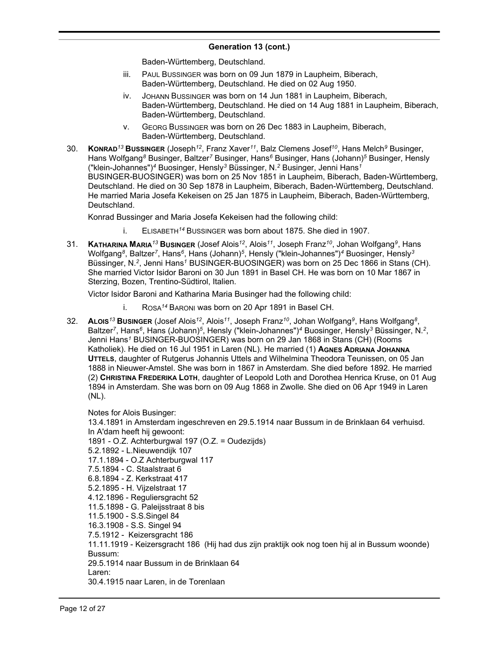Baden-Württemberg, Deutschland.

- iii. PAUL BUSSINGER was born on 09 Jun 1879 in Laupheim, Biberach, Baden-Württemberg, Deutschland. He died on 02 Aug 1950.
- iv. JOHANN BUSSINGER was born on 14 Jun 1881 in Laupheim, Biberach, Baden-Württemberg, Deutschland. He died on 14 Aug 1881 in Laupheim, Biberach, Baden-Württemberg, Deutschland.
- v. GEORG BUSSINGER was born on 26 Dec 1883 in Laupheim, Biberach, Baden-Württemberg, Deutschland.
- 30. **KONRAD***<sup>13</sup>* **BUSSINGER** (Joseph*<sup>12</sup>* , Franz Xaver*<sup>11</sup>* , Balz Clemens Josef*<sup>10</sup>* , Hans Melch*<sup>9</sup>* Businger, Hans Wolfgang*<sup>8</sup>* Businger, Baltzer*<sup>7</sup>* Businger, Hans*<sup>6</sup>* Businger, Hans (Johann)*<sup>5</sup>* Businger, Hensly ("klein-Johannes")*<sup>4</sup>* Buosinger, Hensly*<sup>3</sup>* Büssinger, N.*<sup>2</sup>* Businger, Jenni Hans*<sup>1</sup>* BUSINGER-BUOSINGER) was born on 25 Nov 1851 in Laupheim, Biberach, Baden-Württemberg, Deutschland. He died on 30 Sep 1878 in Laupheim, Biberach, Baden-Württemberg, Deutschland. He married Maria Josefa Kekeisen on 25 Jan 1875 in Laupheim, Biberach, Baden-Württemberg, Deutschland.

Konrad Bussinger and Maria Josefa Kekeisen had the following child:

- i. ELISABETH*<sup>14</sup>* BUSSINGER was born about 1875. She died in 1907.
- 31. **KATHARINA MARIA***<sup>13</sup>* **BUSINGER** (Josef Alois*<sup>12</sup>* , Alois*<sup>11</sup>* , Joseph Franz*<sup>10</sup>* , Johan Wolfgang*<sup>9</sup>* , Hans Wolfgang*<sup>8</sup>* , Baltzer*<sup>7</sup>* , Hans*<sup>6</sup>* , Hans (Johann)*<sup>5</sup>* , Hensly ("klein-Johannes")*<sup>4</sup>* Buosinger, Hensly*<sup>3</sup>* Büssinger, N.*<sup>2</sup>* , Jenni Hans*<sup>1</sup>* BUSINGER-BUOSINGER) was born on 25 Dec 1866 in Stans (CH). She married Victor Isidor Baroni on 30 Jun 1891 in Basel CH. He was born on 10 Mar 1867 in Sterzing, Bozen, Trentino-Südtirol, Italien.

Victor Isidor Baroni and Katharina Maria Businger had the following child:

- i. ROSA*<sup>14</sup>* BARONI was born on 20 Apr 1891 in Basel CH.
- 32. **ALOIS***<sup>13</sup>* **BUSINGER** (Josef Alois*<sup>12</sup>* , Alois*<sup>11</sup>* , Joseph Franz*<sup>10</sup>* , Johan Wolfgang*<sup>9</sup>* , Hans Wolfgang*<sup>8</sup>* , Baltzer<sup>7</sup>, Hans<sup>6</sup>, Hans (Johann)<sup>5</sup>, Hensly ("klein-Johannes")<sup>4</sup> Buosinger, Hensly<sup>3</sup> Büssinger, N.<sup>2</sup>, Jenni Hans*<sup>1</sup>* BUSINGER-BUOSINGER) was born on 29 Jan 1868 in Stans (CH) (Rooms Katholiek). He died on 16 Jul 1951 in Laren (NL). He married (1) **AGNES ADRIANA JOHANNA UTTELS**, daughter of Rutgerus Johannis Uttels and Wilhelmina Theodora Teunissen, on 05 Jan 1888 in Nieuwer-Amstel. She was born in 1867 in Amsterdam. She died before 1892. He married (2) **CHRISTINA FREDERIKA LOTH**, daughter of Leopold Loth and Dorothea Henrica Kruse, on 01 Aug 1894 in Amsterdam. She was born on 09 Aug 1868 in Zwolle. She died on 06 Apr 1949 in Laren (NL).

Notes for Alois Businger:

13.4.1891 in Amsterdam ingeschreven en 29.5.1914 naar Bussum in de Brinklaan 64 verhuisd. In A'dam heeft hij gewoont: 1891 - O.Z. Achterburgwal 197 (O.Z. = Oudezijds) 5.2.1892 - L.Nieuwendijk 107 17.1.1894 - O.Z Achterburgwal 117 7.5.1894 - C. Staalstraat 6 6.8.1894 - Z. Kerkstraat 417 5.2.1895 - H. Vijzelstraat 17 4.12.1896 - Reguliersgracht 52 11.5.1898 - G. Paleijsstraat 8 bis 11.5.1900 - S.S.Singel 84 16.3.1908 - S.S. Singel 94 7.5.1912 - Keizersgracht 186 11.11.1919 - Keizersgracht 186 (Hij had dus zijn praktijk ook nog toen hij al in Bussum woonde) Bussum: 29.5.1914 naar Bussum in de Brinklaan 64 Laren: 30.4.1915 naar Laren, in de Torenlaan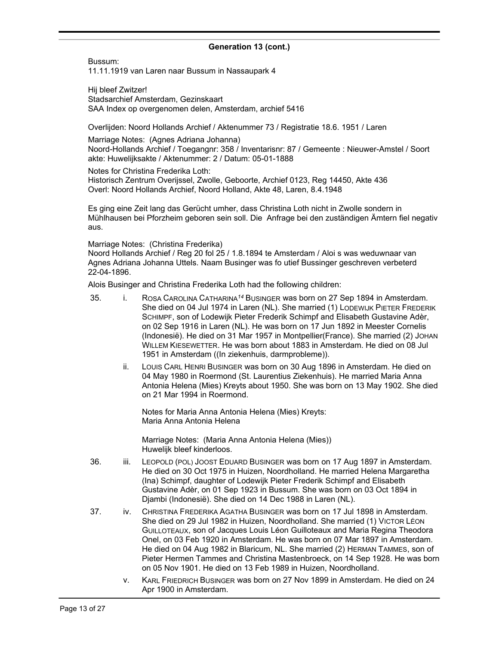Bussum:

11.11.1919 van Laren naar Bussum in Nassaupark 4

Hij bleef Zwitzer! Stadsarchief Amsterdam, Gezinskaart SAA Index op overgenomen delen, Amsterdam, archief 5416

Overlijden: Noord Hollands Archief / Aktenummer 73 / Registratie 18.6. 1951 / Laren

Marriage Notes: (Agnes Adriana Johanna) Noord-Hollands Archief / Toegangnr: 358 / Inventarisnr: 87 / Gemeente : Nieuwer-Amstel / Soort akte: Huwelijksakte / Aktenummer: 2 / Datum: 05-01-1888

Notes for Christina Frederika Loth: Historisch Zentrum Overijssel, Zwolle, Geboorte, Archief 0123, Reg 14450, Akte 436 Overl: Noord Hollands Archief, Noord Holland, Akte 48, Laren, 8.4.1948

Es ging eine Zeit lang das Gerücht umher, dass Christina Loth nicht in Zwolle sondern in Mühlhausen bei Pforzheim geboren sein soll. Die Anfrage bei den zuständigen Ämtern fiel negativ aus.

Marriage Notes: (Christina Frederika)

Noord Hollands Archief / Reg 20 fol 25 / 1.8.1894 te Amsterdam / Aloi s was weduwnaar van Agnes Adriana Johanna Uttels. Naam Businger was fo utief Bussinger geschreven verbeterd 22-04-1896.

Alois Businger and Christina Frederika Loth had the following children:

- 35. i. ROSA CAROLINA CATHARINA*<sup>14</sup>* BUSINGER was born on 27 Sep 1894 in Amsterdam. She died on 04 Jul 1974 in Laren (NL). She married (1) LODEWIJK PIETER FREDERIK SCHIMPF, son of Lodewijk Pieter Frederik Schimpf and Elisabeth Gustavine Adèr, on 02 Sep 1916 in Laren (NL). He was born on 17 Jun 1892 in Meester Cornelis (Indonesië). He died on 31 Mar 1957 in Montpellier(France). She married (2) JOHAN WILLEM KIESEWETTER. He was born about 1883 in Amsterdam. He died on 08 Jul 1951 in Amsterdam ((In ziekenhuis, darmprobleme)).
	- ii. LOUIS CARL HENRI BUSINGER was born on 30 Aug 1896 in Amsterdam. He died on 04 May 1980 in Roermond (St. Laurentius Ziekenhuis). He married Maria Anna Antonia Helena (Mies) Kreyts about 1950. She was born on 13 May 1902. She died on 21 Mar 1994 in Roermond.

Notes for Maria Anna Antonia Helena (Mies) Kreyts: Maria Anna Antonia Helena

Marriage Notes: (Maria Anna Antonia Helena (Mies)) Huwelijk bleef kinderloos.

- 36. iii. LEOPOLD (POL) JOOST EDUARD BUSINGER was born on 17 Aug 1897 in Amsterdam. He died on 30 Oct 1975 in Huizen, Noordholland. He married Helena Margaretha (Ina) Schimpf, daughter of Lodewijk Pieter Frederik Schimpf and Elisabeth Gustavine Adèr, on 01 Sep 1923 in Bussum. She was born on 03 Oct 1894 in Djambi (Indonesië). She died on 14 Dec 1988 in Laren (NL).
- 37. iv. CHRISTINA FREDERIKA AGATHA BUSINGER was born on 17 Jul 1898 in Amsterdam. She died on 29 Jul 1982 in Huizen, Noordholland. She married (1) VICTOR LÉON GUILLOTEAUX, son of Jacques Louis Léon Guilloteaux and Maria Regina Theodora Onel, on 03 Feb 1920 in Amsterdam. He was born on 07 Mar 1897 in Amsterdam. He died on 04 Aug 1982 in Blaricum, NL. She married (2) HERMAN TAMMES, son of Pieter Hermen Tammes and Christina Mastenbroeck, on 14 Sep 1928. He was born on 05 Nov 1901. He died on 13 Feb 1989 in Huizen, Noordholland.
	- v. KARL FRIEDRICH BUSINGER was born on 27 Nov 1899 in Amsterdam. He died on 24 Apr 1900 in Amsterdam.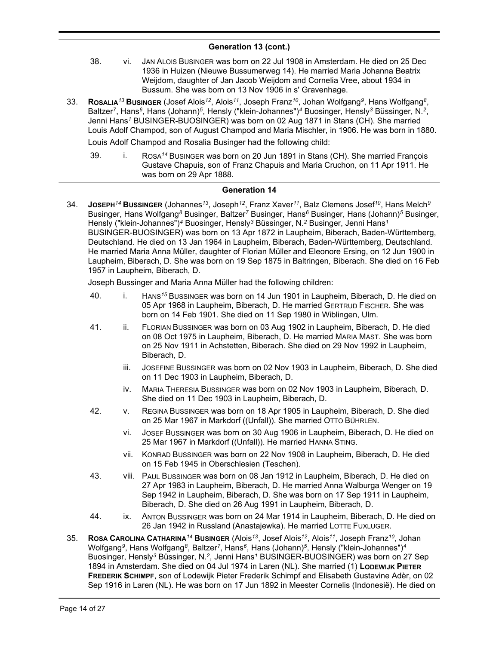- 38. vi. JAN ALOIS BUSINGER was born on 22 Jul 1908 in Amsterdam. He died on 25 Dec 1936 in Huizen (Nieuwe Bussumerweg 14). He married Maria Johanna Beatrix Weijdom, daughter of Jan Jacob Weijdom and Cornelia Vree, about 1934 in Bussum. She was born on 13 Nov 1906 in s' Gravenhage.
- 33. **Rosa⊥ɪa<sup>13</sup> Busɪnɑɛʀ** (Josef Alois<sup>12</sup>, Alois<sup>11</sup>, Joseph Franz<sup>10</sup>, Johan Wolfgang<sup>9</sup>, Hans Wolfgang<sup>8</sup>, Baltzer<sup>7</sup>, Hans<sup>6</sup>, Hans (Johann)<sup>5</sup>, Hensly ("klein-Johannes")<sup>4</sup> Buosinger, Hensly<sup>3</sup> Büssinger, N.<sup>2</sup>, Jenni Hans*<sup>1</sup>* BUSINGER-BUOSINGER) was born on 02 Aug 1871 in Stans (CH). She married Louis Adolf Champod, son of August Champod and Maria Mischler, in 1906. He was born in 1880.

Louis Adolf Champod and Rosalia Businger had the following child:

39. i. ROSA*<sup>14</sup>* BUSINGER was born on 20 Jun 1891 in Stans (CH). She married François Gustave Chapuis, son of Franz Chapuis and Maria Cruchon, on 11 Apr 1911. He was born on 29 Apr 1888.

#### **Generation 14**

34. **JOSEPH***<sup>14</sup>* **BUSSINGER** (Johannes*<sup>13</sup>* , Joseph*<sup>12</sup>* , Franz Xaver*<sup>11</sup>* , Balz Clemens Josef*<sup>10</sup>* , Hans Melch*<sup>9</sup>* Businger, Hans Wolfgang*<sup>8</sup>* Businger, Baltzer*<sup>7</sup>* Businger, Hans*<sup>6</sup>* Businger, Hans (Johann)*<sup>5</sup>* Businger, Hensly ("klein-Johannes")*<sup>4</sup>* Buosinger, Hensly*<sup>3</sup>* Büssinger, N.*<sup>2</sup>* Businger, Jenni Hans*<sup>1</sup>* BUSINGER-BUOSINGER) was born on 13 Apr 1872 in Laupheim, Biberach, Baden-Württemberg, Deutschland. He died on 13 Jan 1964 in Laupheim, Biberach, Baden-Württemberg, Deutschland. He married Maria Anna Müller, daughter of Florian Müller and Eleonore Ersing, on 12 Jun 1900 in Laupheim, Biberach, D. She was born on 19 Sep 1875 in Baltringen, Biberach. She died on 16 Feb 1957 in Laupheim, Biberach, D.

Joseph Bussinger and Maria Anna Müller had the following children:

- 40. i. HANS*<sup>15</sup>* BUSSINGER was born on 14 Jun 1901 in Laupheim, Biberach, D. He died on 05 Apr 1968 in Laupheim, Biberach, D. He married GERTRUD FISCHER. She was born on 14 Feb 1901. She died on 11 Sep 1980 in Wiblingen, Ulm.
- 41. ii. FLORIAN BUSSINGER was born on 03 Aug 1902 in Laupheim, Biberach, D. He died on 08 Oct 1975 in Laupheim, Biberach, D. He married MARIA MAST. She was born on 25 Nov 1911 in Achstetten, Biberach. She died on 29 Nov 1992 in Laupheim, Biberach, D.
	- iii. JOSEFINE BUSSINGER was born on 02 Nov 1903 in Laupheim, Biberach, D. She died on 11 Dec 1903 in Laupheim, Biberach, D.
	- iv. MARIA THERESIA BUSSINGER was born on 02 Nov 1903 in Laupheim, Biberach, D. She died on 11 Dec 1903 in Laupheim, Biberach, D.
- 42. v. REGINA BUSSINGER was born on 18 Apr 1905 in Laupheim, Biberach, D. She died on 25 Mar 1967 in Markdorf ((Unfall)). She married OTTO BÜHRLEN.
	- vi. JOSEF BUSSINGER was born on 30 Aug 1906 in Laupheim, Biberach, D. He died on 25 Mar 1967 in Markdorf ((Unfall)). He married HANNA STING.
	- vii. KONRAD BUSSINGER was born on 22 Nov 1908 in Laupheim, Biberach, D. He died on 15 Feb 1945 in Oberschlesien (Teschen).
- 43. viii. PAUL BUSSINGER was born on 08 Jan 1912 in Laupheim, Biberach, D. He died on 27 Apr 1983 in Laupheim, Biberach, D. He married Anna Walburga Wenger on 19 Sep 1942 in Laupheim, Biberach, D. She was born on 17 Sep 1911 in Laupheim, Biberach, D. She died on 26 Aug 1991 in Laupheim, Biberach, D.
- 44. ix. ANTON BUSSINGER was born on 24 Mar 1914 in Laupheim, Biberach, D. He died on 26 Jan 1942 in Russland (Anastajewka). He married LOTTE FUXLUGER.
- 35. **ROSA CAROLINA CATHARINA***<sup>14</sup>* **BUSINGER** (Alois*<sup>13</sup>* , Josef Alois*<sup>12</sup>* , Alois*<sup>11</sup>* , Joseph Franz*<sup>10</sup>* , Johan Wolfgang*<sup>9</sup>* , Hans Wolfgang*<sup>8</sup>* , Baltzer*<sup>7</sup>* , Hans*<sup>6</sup>* , Hans (Johann)*<sup>5</sup>* , Hensly ("klein-Johannes")*<sup>4</sup>* Buosinger, Hensly*<sup>3</sup>* Büssinger, N.*<sup>2</sup>* , Jenni Hans*<sup>1</sup>* BUSINGER-BUOSINGER) was born on 27 Sep 1894 in Amsterdam. She died on 04 Jul 1974 in Laren (NL). She married (1) **LODEWIJK PIETER FREDERIK SCHIMPF**, son of Lodewijk Pieter Frederik Schimpf and Elisabeth Gustavine Adèr, on 02 Sep 1916 in Laren (NL). He was born on 17 Jun 1892 in Meester Cornelis (Indonesië). He died on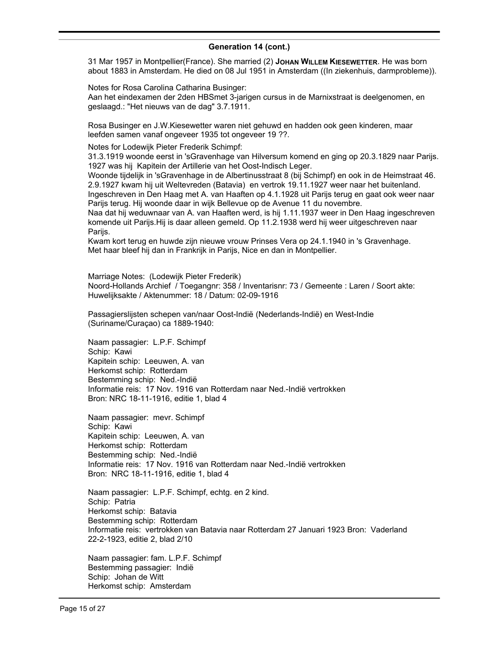31 Mar 1957 in Montpellier(France). She married (2) **JOHAN WILLEM KIESEWETTER**. He was born about 1883 in Amsterdam. He died on 08 Jul 1951 in Amsterdam ((In ziekenhuis, darmprobleme)).

Notes for Rosa Carolina Catharina Businger: Aan het eindexamen der 2den HBSmet 3-jarigen cursus in de Marnixstraat is deelgenomen, en geslaagd.: "Het nieuws van de dag" 3.7.1911.

Rosa Businger en J.W.Kiesewetter waren niet gehuwd en hadden ook geen kinderen, maar leefden samen vanaf ongeveer 1935 tot ongeveer 19 ??.

Notes for Lodewijk Pieter Frederik Schimpf:

31.3.1919 woonde eerst in 'sGravenhage van Hilversum komend en ging op 20.3.1829 naar Parijs. 1927 was hij Kapitein der Artillerie van het Oost-Indisch Leger.

Woonde tijdelijk in 'sGravenhage in de Albertinusstraat 8 (bij Schimpf) en ook in de Heimstraat 46. 2.9.1927 kwam hij uit Weltevreden (Batavia) en vertrok 19.11.1927 weer naar het buitenland. Ingeschreven in Den Haag met A. van Haaften op 4.1.1928 uit Parijs terug en gaat ook weer naar Parijs terug. Hij woonde daar in wijk Bellevue op de Avenue 11 du novembre.

Naa dat hij weduwnaar van A. van Haaften werd, is hij 1.11.1937 weer in Den Haag ingeschreven komende uit Parijs.Hij is daar alleen gemeld. Op 11.2.1938 werd hij weer uitgeschreven naar Pariis.

Kwam kort terug en huwde zijn nieuwe vrouw Prinses Vera op 24.1.1940 in 's Gravenhage. Met haar bleef hij dan in Frankrijk in Parijs, Nice en dan in Montpellier.

Marriage Notes: (Lodewijk Pieter Frederik) Noord-Hollands Archief / Toegangnr: 358 / Inventarisnr: 73 / Gemeente : Laren / Soort akte: Huwelijksakte / Aktenummer: 18 / Datum: 02-09-1916

Passagierslijsten schepen van/naar Oost-Indië (Nederlands-Indië) en West-Indie (Suriname/Curaçao) ca 1889-1940:

Naam passagier: L.P.F. Schimpf Schip: Kawi Kapitein schip: Leeuwen, A. van Herkomst schip: Rotterdam Bestemming schip: Ned.-Indië Informatie reis: 17 Nov. 1916 van Rotterdam naar Ned.-Indië vertrokken Bron: NRC 18-11-1916, editie 1, blad 4

Naam passagier: mevr. Schimpf Schip: Kawi Kapitein schip: Leeuwen, A. van Herkomst schip: Rotterdam Bestemming schip: Ned.-Indië Informatie reis: 17 Nov. 1916 van Rotterdam naar Ned.-Indië vertrokken Bron: NRC 18-11-1916, editie 1, blad 4

Naam passagier: L.P.F. Schimpf, echtg. en 2 kind. Schip: Patria Herkomst schip: Batavia Bestemming schip: Rotterdam Informatie reis: vertrokken van Batavia naar Rotterdam 27 Januari 1923 Bron: Vaderland 22-2-1923, editie 2, blad 2/10

Naam passagier: fam. L.P.F. Schimpf Bestemming passagier: Indië Schip: Johan de Witt Herkomst schip: Amsterdam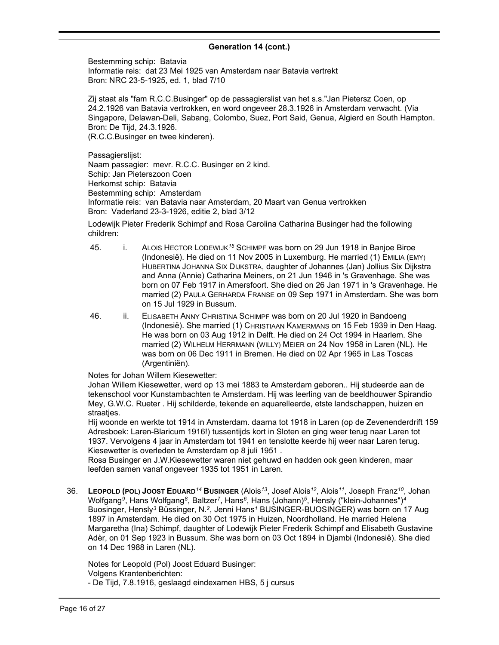Bestemming schip: Batavia Informatie reis: dat 23 Mei 1925 van Amsterdam naar Batavia vertrekt Bron: NRC 23-5-1925, ed. 1, blad 7/10

Zij staat als "fam R.C.C.Businger" op de passagierslist van het s.s."Jan Pietersz Coen, op 24.2.1926 van Batavia vertrokken, en word ongeveer 28.3.1926 in Amsterdam verwacht. (Via Singapore, Delawan-Deli, Sabang, Colombo, Suez, Port Said, Genua, Algierd en South Hampton. Bron: De Tijd, 24.3.1926. (R.C.C.Businger en twee kinderen).

Passagierslijst: Naam passagier: mevr. R.C.C. Businger en 2 kind. Schip: Jan Pieterszoon Coen Herkomst schip: Batavia Bestemming schip: Amsterdam Informatie reis: van Batavia naar Amsterdam, 20 Maart van Genua vertrokken Bron: Vaderland 23-3-1926, editie 2, blad 3/12

Lodewijk Pieter Frederik Schimpf and Rosa Carolina Catharina Businger had the following children:

- 45. i. ALOIS HECTOR LODEWIJK*<sup>15</sup>* SCHIMPF was born on 29 Jun 1918 in Banjoe Biroe (Indonesië). He died on 11 Nov 2005 in Luxemburg. He married (1) EMILIA (EMY) HUBERTINA JOHANNA SIX DIJKSTRA, daughter of Johannes (Jan) Jollius Six Dijkstra and Anna (Annie) Catharina Meiners, on 21 Jun 1946 in 's Gravenhage. She was born on 07 Feb 1917 in Amersfoort. She died on 26 Jan 1971 in 's Gravenhage. He married (2) PAULA GERHARDA FRANSE on 09 Sep 1971 in Amsterdam. She was born on 15 Jul 1929 in Bussum.
- 46. ii. ELISABETH ANNY CHRISTINA SCHIMPF was born on 20 Jul 1920 in Bandoeng (Indonesië). She married (1) CHRISTIAAN KAMERMANS on 15 Feb 1939 in Den Haag. He was born on 03 Aug 1912 in Delft. He died on 24 Oct 1994 in Haarlem. She married (2) WILHELM HERRMANN (WILLY) MEIER on 24 Nov 1958 in Laren (NL). He was born on 06 Dec 1911 in Bremen. He died on 02 Apr 1965 in Las Toscas (Argentiniën).

Notes for Johan Willem Kiesewetter:

Johan Willem Kiesewetter, werd op 13 mei 1883 te Amsterdam geboren.. Hij studeerde aan de tekenschool voor Kunstambachten te Amsterdam. Hij was leerling van de beeldhouwer Spirandio Mey, G.W.C. Rueter . Hij schilderde, tekende en aquarelleerde, etste landschappen, huizen en straaties.

Hij woonde en werkte tot 1914 in Amsterdam. daarna tot 1918 in Laren (op de Zevenenderdrift 159 Adresboek: Laren-Blaricum 1916!) tussentijds kort in Sloten en ging weer terug naar Laren tot 1937. Vervolgens 4 jaar in Amsterdam tot 1941 en tenslotte keerde hij weer naar Laren terug. Kiesewetter is overleden te Amsterdam op 8 juli 1951 .

Rosa Businger en J.W.Kiesewetter waren niet gehuwd en hadden ook geen kinderen, maar leefden samen vanaf ongeveer 1935 tot 1951 in Laren.

36. **LEOPOLD (POL) JOOST EDUARD***<sup>14</sup>* **BUSINGER** (Alois*<sup>13</sup>* , Josef Alois*<sup>12</sup>* , Alois*<sup>11</sup>* , Joseph Franz*<sup>10</sup>* , Johan Wolfgang*<sup>9</sup>* , Hans Wolfgang*<sup>8</sup>* , Baltzer*<sup>7</sup>* , Hans*<sup>6</sup>* , Hans (Johann)*<sup>5</sup>* , Hensly ("klein-Johannes")*<sup>4</sup>* Buosinger, Hensly*<sup>3</sup>* Büssinger, N.*<sup>2</sup>* , Jenni Hans*<sup>1</sup>* BUSINGER-BUOSINGER) was born on 17 Aug 1897 in Amsterdam. He died on 30 Oct 1975 in Huizen, Noordholland. He married Helena Margaretha (Ina) Schimpf, daughter of Lodewijk Pieter Frederik Schimpf and Elisabeth Gustavine Adèr, on 01 Sep 1923 in Bussum. She was born on 03 Oct 1894 in Djambi (Indonesië). She died on 14 Dec 1988 in Laren (NL).

Notes for Leopold (Pol) Joost Eduard Businger: Volgens Krantenberichten:

- De Tijd, 7.8.1916, geslaagd eindexamen HBS, 5 j cursus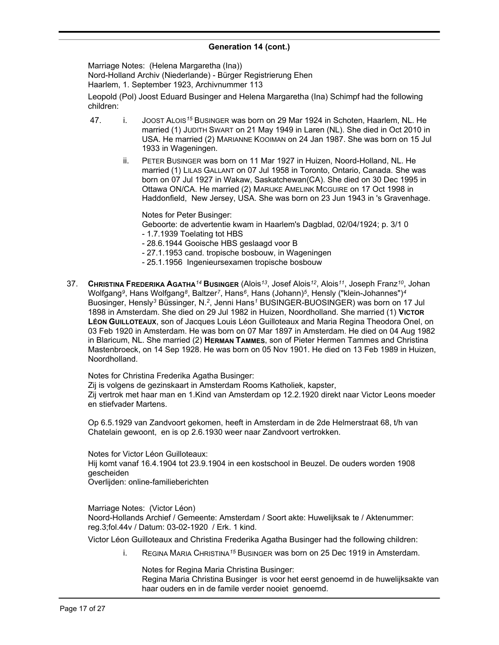Marriage Notes: (Helena Margaretha (Ina))

Nord-Holland Archiv (Niederlande) - Bürger Registrierung Ehen

Haarlem, 1. September 1923, Archivnummer 113

Leopold (Pol) Joost Eduard Businger and Helena Margaretha (Ina) Schimpf had the following children:

- 47. i. JOOST ALOIS*<sup>15</sup>* BUSINGER was born on 29 Mar 1924 in Schoten, Haarlem, NL. He married (1) JUDITH SWART on 21 May 1949 in Laren (NL). She died in Oct 2010 in USA. He married (2) MARIANNE KOOIMAN on 24 Jan 1987. She was born on 15 Jul 1933 in Wageningen.
	- ii. PETER BUSINGER was born on 11 Mar 1927 in Huizen, Noord-Holland, NL. He married (1) LILAS GALLANT on 07 Jul 1958 in Toronto, Ontario, Canada. She was born on 07 Jul 1927 in Wakaw, Saskatchewan(CA). She died on 30 Dec 1995 in Ottawa ON/CA. He married (2) MARIJKE AMELINK MCGUIRE on 17 Oct 1998 in Haddonfield, New Jersey, USA. She was born on 23 Jun 1943 in 's Gravenhage.

Notes for Peter Businger:

- Geboorte: de advertentie kwam in Haarlem's Dagblad, 02/04/1924; p. 3/1 0
- 1.7.1939 Toelating tot HBS
- 28.6.1944 Gooische HBS geslaagd voor B
- 27.1.1953 cand. tropische bosbouw, in Wageningen
- 25.1.1956 Ingenieursexamen tropische bosbouw
- 37. **CHRISTINA FREDERIKA AGATHA***<sup>14</sup>* **BUSINGER** (Alois*<sup>13</sup>* , Josef Alois*<sup>12</sup>* , Alois*<sup>11</sup>* , Joseph Franz*<sup>10</sup>* , Johan Wolfgang*<sup>9</sup>* , Hans Wolfgang*<sup>8</sup>* , Baltzer*<sup>7</sup>* , Hans*<sup>6</sup>* , Hans (Johann)*<sup>5</sup>* , Hensly ("klein-Johannes")*<sup>4</sup>* Buosinger, Hensly*<sup>3</sup>* Büssinger, N.*<sup>2</sup>* , Jenni Hans*<sup>1</sup>* BUSINGER-BUOSINGER) was born on 17 Jul 1898 in Amsterdam. She died on 29 Jul 1982 in Huizen, Noordholland. She married (1) **VICTOR LÉON GUILLOTEAUX**, son of Jacques Louis Léon Guilloteaux and Maria Regina Theodora Onel, on 03 Feb 1920 in Amsterdam. He was born on 07 Mar 1897 in Amsterdam. He died on 04 Aug 1982 in Blaricum, NL. She married (2) **HERMAN TAMMES**, son of Pieter Hermen Tammes and Christina Mastenbroeck, on 14 Sep 1928. He was born on 05 Nov 1901. He died on 13 Feb 1989 in Huizen, Noordholland.

Notes for Christina Frederika Agatha Businger:

Zij is volgens de gezinskaart in Amsterdam Rooms Katholiek, kapster, Zij vertrok met haar man en 1.Kind van Amsterdam op 12.2.1920 direkt naar Victor Leons moeder en stiefvader Martens.

Op 6.5.1929 van Zandvoort gekomen, heeft in Amsterdam in de 2de Helmerstraat 68, t/h van Chatelain gewoont, en is op 2.6.1930 weer naar Zandvoort vertrokken.

Notes for Victor Léon Guilloteaux:

Hij komt vanaf 16.4.1904 tot 23.9.1904 in een kostschool in Beuzel. De ouders worden 1908 gescheiden

Overlijden: online-familieberichten

Marriage Notes: (Victor Léon) Noord-Hollands Archief / Gemeente: Amsterdam / Soort akte: Huwelijksak te / Aktenummer: reg.3;fol.44v / Datum: 03-02-1920 / Erk. 1 kind.

Victor Léon Guilloteaux and Christina Frederika Agatha Businger had the following children:

i. REGINA MARIA CHRISTINA*<sup>15</sup>* BUSINGER was born on 25 Dec 1919 in Amsterdam.

Notes for Regina Maria Christina Businger:

Regina Maria Christina Businger is voor het eerst genoemd in de huwelijksakte van haar ouders en in de famile verder nooiet genoemd.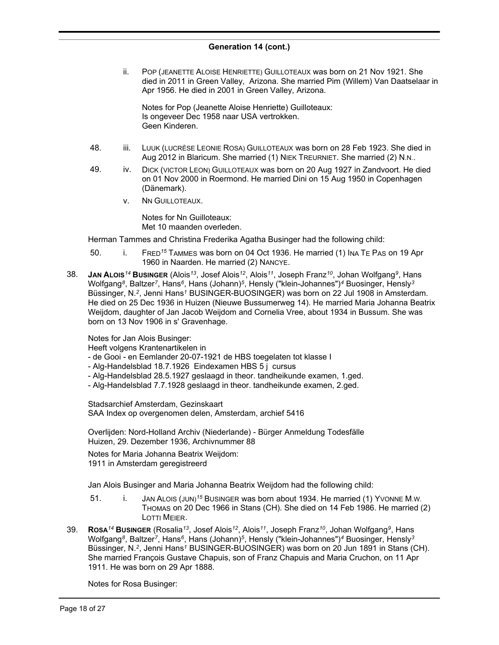ii. POP (JEANETTE ALOISE HENRIETTE) GUILLOTEAUX was born on 21 Nov 1921. She died in 2011 in Green Valley, Arizona. She married Pim (Willem) Van Daatselaar in Apr 1956. He died in 2001 in Green Valley, Arizona.

Notes for Pop (Jeanette Aloise Henriette) Guilloteaux: Is ongeveer Dec 1958 naar USA vertrokken. Geen Kinderen.

- 48. iii. LUUK (LUCRÈSE LEONIE ROSA) GUILLOTEAUX was born on 28 Feb 1923. She died in Aug 2012 in Blaricum. She married (1) NIEK TREURNIET. She married (2) N.N..
- 49. iv. DICK (VICTOR LEON) GUILLOTEAUX was born on 20 Aug 1927 in Zandvoort. He died on 01 Nov 2000 in Roermond. He married Dini on 15 Aug 1950 in Copenhagen (Dänemark).
	- v. NN GUILLOTEAUX.

Notes for Nn Guilloteaux: Met 10 maanden overleden.

Herman Tammes and Christina Frederika Agatha Businger had the following child:

- 50. i. FRED*<sup>15</sup>* TAMMES was born on 04 Oct 1936. He married (1) INA TE PAS on 19 Apr 1960 in Naarden. He married (2) NANCYE.
- $38.$  **Jan A<code>Loıs</code><sup>14</sup> <code>Bus</code>ı<code>NGER</code> (Alois** $^{13}$ **, Josef Alois** $^{12}$ **, Alois** $^{11}$ **, Joseph Franz** $^{10}$ **, Johan Wolfgang** $^{9}$ **, Hans** Wolfgang*<sup>8</sup>* , Baltzer*<sup>7</sup>* , Hans*<sup>6</sup>* , Hans (Johann)*<sup>5</sup>* , Hensly ("klein-Johannes")*<sup>4</sup>* Buosinger, Hensly*<sup>3</sup>* Büssinger, N.*<sup>2</sup>* , Jenni Hans*<sup>1</sup>* BUSINGER-BUOSINGER) was born on 22 Jul 1908 in Amsterdam. He died on 25 Dec 1936 in Huizen (Nieuwe Bussumerweg 14). He married Maria Johanna Beatrix Weijdom, daughter of Jan Jacob Weijdom and Cornelia Vree, about 1934 in Bussum. She was born on 13 Nov 1906 in s' Gravenhage.

Notes for Jan Alois Businger:

Heeft volgens Krantenartikelen in

- de Gooi en Eemlander 20-07-1921 de HBS toegelaten tot klasse I
- Alg-Handelsblad 18.7.1926 Eindexamen HBS 5 j cursus
- Alg-Handelsblad 28.5.1927 geslaagd in theor. tandheikunde examen, 1.ged.
- Alg-Handelsblad 7.7.1928 geslaagd in theor. tandheikunde examen, 2.ged.

Stadsarchief Amsterdam, Gezinskaart SAA Index op overgenomen delen, Amsterdam, archief 5416

Overlijden: Nord-Holland Archiv (Niederlande) - Bürger Anmeldung Todesfälle Huizen, 29. Dezember 1936, Archivnummer 88

Notes for Maria Johanna Beatrix Weijdom: 1911 in Amsterdam geregistreerd

Jan Alois Businger and Maria Johanna Beatrix Weijdom had the following child:

- 51. i. JAN ALOIS (JUN)*<sup>15</sup>* BUSINGER was born about 1934. He married (1) YVONNE M.W. THOMAS on 20 Dec 1966 in Stans (CH). She died on 14 Feb 1986. He married (2) LOTTI MEIER.
- 39. **ROSA***<sup>14</sup>* **BUSINGER** (Rosalia*<sup>13</sup>* , Josef Alois*<sup>12</sup>* , Alois*<sup>11</sup>* , Joseph Franz*<sup>10</sup>* , Johan Wolfgang*<sup>9</sup>* , Hans Wolfgang*<sup>8</sup>* , Baltzer*<sup>7</sup>* , Hans*<sup>6</sup>* , Hans (Johann)*<sup>5</sup>* , Hensly ("klein-Johannes")*<sup>4</sup>* Buosinger, Hensly*<sup>3</sup>* Büssinger, N.*<sup>2</sup>* , Jenni Hans*<sup>1</sup>* BUSINGER-BUOSINGER) was born on 20 Jun 1891 in Stans (CH). She married François Gustave Chapuis, son of Franz Chapuis and Maria Cruchon, on 11 Apr 1911. He was born on 29 Apr 1888.

Notes for Rosa Businger: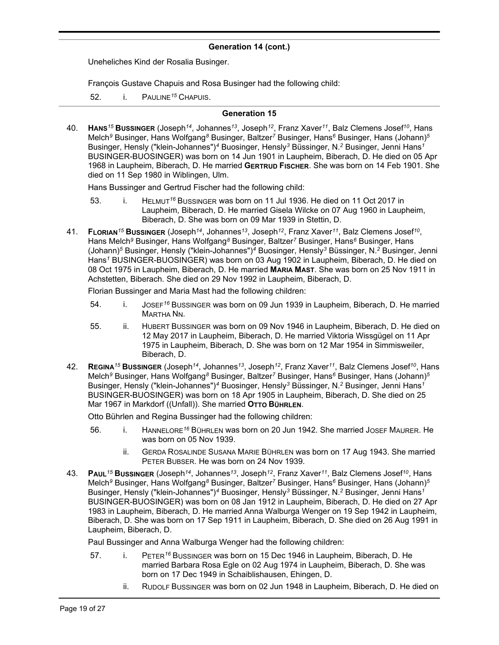Uneheliches Kind der Rosalia Businger.

François Gustave Chapuis and Rosa Businger had the following child:

52. i. PAULINE*<sup>15</sup>* CHAPUIS.

#### **Generation 15**

40. **HANS***<sup>15</sup>* **BUSSINGER** (Joseph*<sup>14</sup>* , Johannes*<sup>13</sup>* , Joseph*<sup>12</sup>* , Franz Xaver*<sup>11</sup>* , Balz Clemens Josef*<sup>10</sup>* , Hans Melch*<sup>9</sup>* Businger, Hans Wolfgang*<sup>8</sup>* Businger, Baltzer*<sup>7</sup>* Businger, Hans*<sup>6</sup>* Businger, Hans (Johann)*<sup>5</sup>* Businger, Hensly ("klein-Johannes")*<sup>4</sup>* Buosinger, Hensly*<sup>3</sup>* Büssinger, N.*<sup>2</sup>* Businger, Jenni Hans*<sup>1</sup>* BUSINGER-BUOSINGER) was born on 14 Jun 1901 in Laupheim, Biberach, D. He died on 05 Apr 1968 in Laupheim, Biberach, D. He married **GERTRUD FISCHER**. She was born on 14 Feb 1901. She died on 11 Sep 1980 in Wiblingen, Ulm.

Hans Bussinger and Gertrud Fischer had the following child:

- 53. i. HELMUT*<sup>16</sup>* BUSSINGER was born on 11 Jul 1936. He died on 11 Oct 2017 in Laupheim, Biberach, D. He married Gisela Wilcke on 07 Aug 1960 in Laupheim, Biberach, D. She was born on 09 Mar 1939 in Stettin, D.
- 41. **FLORIAN***<sup>15</sup>* **BUSSINGER** (Joseph*<sup>14</sup>* , Johannes*<sup>13</sup>* , Joseph*<sup>12</sup>* , Franz Xaver*<sup>11</sup>* , Balz Clemens Josef*<sup>10</sup>* , Hans Melch*<sup>9</sup>* Businger, Hans Wolfgang*<sup>8</sup>* Businger, Baltzer*<sup>7</sup>* Businger, Hans*<sup>6</sup>* Businger, Hans (Johann)*<sup>5</sup>* Businger, Hensly ("klein-Johannes")*<sup>4</sup>* Buosinger, Hensly*<sup>3</sup>* Büssinger, N.*<sup>2</sup>* Businger, Jenni Hans*<sup>1</sup>* BUSINGER-BUOSINGER) was born on 03 Aug 1902 in Laupheim, Biberach, D. He died on 08 Oct 1975 in Laupheim, Biberach, D. He married **MARIA MAST**. She was born on 25 Nov 1911 in Achstetten, Biberach. She died on 29 Nov 1992 in Laupheim, Biberach, D.

Florian Bussinger and Maria Mast had the following children:

- 54. i. JOSEF*<sup>16</sup>* BUSSINGER was born on 09 Jun 1939 in Laupheim, Biberach, D. He married MARTHA NN.
- 55. ii. HUBERT BUSSINGER was born on 09 Nov 1946 in Laupheim, Biberach, D. He died on 12 May 2017 in Laupheim, Biberach, D. He married Viktoria Wissgügel on 11 Apr 1975 in Laupheim, Biberach, D. She was born on 12 Mar 1954 in Simmisweiler, Biberach, D.
- 42. **REGINA***<sup>15</sup>* **BUSSINGER** (Joseph*<sup>14</sup>* , Johannes*<sup>13</sup>* , Joseph*<sup>12</sup>* , Franz Xaver*<sup>11</sup>* , Balz Clemens Josef*<sup>10</sup>* , Hans Melch*<sup>9</sup>* Businger, Hans Wolfgang*<sup>8</sup>* Businger, Baltzer*<sup>7</sup>* Businger, Hans*<sup>6</sup>* Businger, Hans (Johann)*<sup>5</sup>* Businger, Hensly ("klein-Johannes")*<sup>4</sup>* Buosinger, Hensly*<sup>3</sup>* Büssinger, N.*<sup>2</sup>* Businger, Jenni Hans*<sup>1</sup>* BUSINGER-BUOSINGER) was born on 18 Apr 1905 in Laupheim, Biberach, D. She died on 25 Mar 1967 in Markdorf ((Unfall)). She married **OTTO BÜHRLEN**.

Otto Bührlen and Regina Bussinger had the following children:

- 56. i. HANNELORE*<sup>16</sup>* BÜHRLEN was born on 20 Jun 1942. She married JOSEF MAURER. He was born on 05 Nov 1939.
	- ii. GERDA ROSALINDE SUSANA MARIE BÜHRLEN was born on 17 Aug 1943. She married PETER BUBSER. He was born on 24 Nov 1939.
- 43. **PAUL***<sup>15</sup>* **BUSSINGER** (Joseph*<sup>14</sup>* , Johannes*<sup>13</sup>* , Joseph*<sup>12</sup>* , Franz Xaver*<sup>11</sup>* , Balz Clemens Josef*<sup>10</sup>* , Hans Melch*<sup>9</sup>* Businger, Hans Wolfgang*<sup>8</sup>* Businger, Baltzer*<sup>7</sup>* Businger, Hans*<sup>6</sup>* Businger, Hans (Johann)*<sup>5</sup>* Businger, Hensly ("klein-Johannes")*<sup>4</sup>* Buosinger, Hensly*<sup>3</sup>* Büssinger, N.*<sup>2</sup>* Businger, Jenni Hans*<sup>1</sup>* BUSINGER-BUOSINGER) was born on 08 Jan 1912 in Laupheim, Biberach, D. He died on 27 Apr 1983 in Laupheim, Biberach, D. He married Anna Walburga Wenger on 19 Sep 1942 in Laupheim, Biberach, D. She was born on 17 Sep 1911 in Laupheim, Biberach, D. She died on 26 Aug 1991 in Laupheim, Biberach, D.

Paul Bussinger and Anna Walburga Wenger had the following children:

- 57. i. PETER*<sup>16</sup>* BUSSINGER was born on 15 Dec 1946 in Laupheim, Biberach, D. He married Barbara Rosa Egle on 02 Aug 1974 in Laupheim, Biberach, D. She was born on 17 Dec 1949 in Schaiblishausen, Ehingen, D.
	- ii. RUDOLF BUSSINGER was born on 02 Jun 1948 in Laupheim, Biberach, D. He died on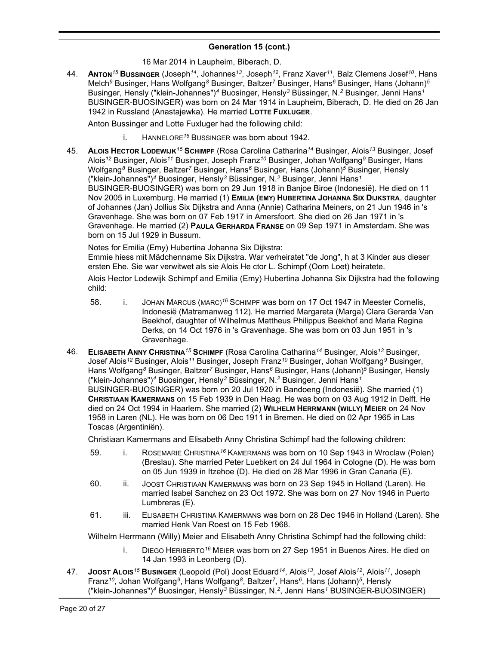## 16 Mar 2014 in Laupheim, Biberach, D.

44. **ANTON***<sup>15</sup>* **BUSSINGER** (Joseph*<sup>14</sup>* , Johannes*<sup>13</sup>* , Joseph*<sup>12</sup>* , Franz Xaver*<sup>11</sup>* , Balz Clemens Josef*<sup>10</sup>* , Hans Melch*<sup>9</sup>* Businger, Hans Wolfgang*<sup>8</sup>* Businger, Baltzer*<sup>7</sup>* Businger, Hans*<sup>6</sup>* Businger, Hans (Johann)*<sup>5</sup>* Businger, Hensly ("klein-Johannes")*<sup>4</sup>* Buosinger, Hensly*<sup>3</sup>* Büssinger, N.*<sup>2</sup>* Businger, Jenni Hans*<sup>1</sup>* BUSINGER-BUOSINGER) was born on 24 Mar 1914 in Laupheim, Biberach, D. He died on 26 Jan 1942 in Russland (Anastajewka). He married **LOTTE FUXLUGER**.

Anton Bussinger and Lotte Fuxluger had the following child:

- i. HANNELORE*<sup>16</sup>* BUSSINGER was born about 1942.
- 45. **ALOIS HECTOR LODEWIJK***<sup>15</sup>* **SCHIMPF** (Rosa Carolina Catharina*<sup>14</sup>* Businger, Alois*<sup>13</sup>* Businger, Josef Alois*<sup>12</sup>* Businger, Alois*<sup>11</sup>* Businger, Joseph Franz*<sup>10</sup>* Businger, Johan Wolfgang*<sup>9</sup>* Businger, Hans Wolfgang*<sup>8</sup>* Businger, Baltzer*<sup>7</sup>* Businger, Hans*<sup>6</sup>* Businger, Hans (Johann)*<sup>5</sup>* Businger, Hensly ("klein-Johannes")*<sup>4</sup>* Buosinger, Hensly*<sup>3</sup>* Büssinger, N.*<sup>2</sup>* Businger, Jenni Hans*<sup>1</sup>* BUSINGER-BUOSINGER) was born on 29 Jun 1918 in Banjoe Biroe (Indonesië). He died on 11 Nov 2005 in Luxemburg. He married (1) **EMILIA (EMY) HUBERTINA JOHANNA SIX DIJKSTRA**, daughter of Johannes (Jan) Jollius Six Dijkstra and Anna (Annie) Catharina Meiners, on 21 Jun 1946 in 's Gravenhage. She was born on 07 Feb 1917 in Amersfoort. She died on 26 Jan 1971 in 's Gravenhage. He married (2) **PAULA GERHARDA FRANSE** on 09 Sep 1971 in Amsterdam. She was born on 15 Jul 1929 in Bussum.

Notes for Emilia (Emy) Hubertina Johanna Six Dijkstra:

Emmie hiess mit Mädchenname Six Dijkstra. War verheiratet "de Jong", h at 3 Kinder aus dieser ersten Ehe. Sie war verwitwet als sie Alois He ctor L. Schimpf (Oom Loet) heiratete.

Alois Hector Lodewijk Schimpf and Emilia (Emy) Hubertina Johanna Six Dijkstra had the following child:

- 58. i. JOHAN MARCUS (MARC)<sup>16</sup> SCHIMPF was born on 17 Oct 1947 in Meester Cornelis, Indonesië (Matramanweg 112). He married Margareta (Marga) Clara Gerarda Van Beekhof, daughter of Wilhelmus Mattheus Philippus Beekhof and Maria Regina Derks, on 14 Oct 1976 in 's Gravenhage. She was born on 03 Jun 1951 in 's Gravenhage.
- 46. **ELISABETH ANNY CHRISTINA***<sup>15</sup>* **SCHIMPF** (Rosa Carolina Catharina*<sup>14</sup>* Businger, Alois*<sup>13</sup>* Businger, Josef Alois*<sup>12</sup>* Businger, Alois*<sup>11</sup>* Businger, Joseph Franz*<sup>10</sup>* Businger, Johan Wolfgang*<sup>9</sup>* Businger, Hans Wolfgang*<sup>8</sup>* Businger, Baltzer*<sup>7</sup>* Businger, Hans*<sup>6</sup>* Businger, Hans (Johann)*<sup>5</sup>* Businger, Hensly ("klein-Johannes")*<sup>4</sup>* Buosinger, Hensly*<sup>3</sup>* Büssinger, N.*<sup>2</sup>* Businger, Jenni Hans*<sup>1</sup>* BUSINGER-BUOSINGER) was born on 20 Jul 1920 in Bandoeng (Indonesië). She married (1) **CHRISTIAAN KAMERMANS** on 15 Feb 1939 in Den Haag. He was born on 03 Aug 1912 in Delft. He died on 24 Oct 1994 in Haarlem. She married (2) **WILHELM HERRMANN (WILLY) MEIER** on 24 Nov 1958 in Laren (NL). He was born on 06 Dec 1911 in Bremen. He died on 02 Apr 1965 in Las Toscas (Argentiniën).

Christiaan Kamermans and Elisabeth Anny Christina Schimpf had the following children:

- 59. i. ROSEMARIE CHRISTINA*<sup>16</sup>* KAMERMANS was born on 10 Sep 1943 in Wroclaw (Polen) (Breslau). She married Peter Luebkert on 24 Jul 1964 in Cologne (D). He was born on 05 Jun 1939 in Itzehoe (D). He died on 28 Mar 1996 in Gran Canaria (E).
- 60. ii. JOOST CHRISTIAAN KAMERMANS was born on 23 Sep 1945 in Holland (Laren). He married Isabel Sanchez on 23 Oct 1972. She was born on 27 Nov 1946 in Puerto Lumbreras (E).
- 61. iii. ELISABETH CHRISTINA KAMERMANS was born on 28 Dec 1946 in Holland (Laren). She married Henk Van Roest on 15 Feb 1968.

Wilhelm Herrmann (Willy) Meier and Elisabeth Anny Christina Schimpf had the following child:

- i. DIEGO HERIBERTO*<sup>16</sup>* MEIER was born on 27 Sep 1951 in Buenos Aires. He died on 14 Jan 1993 in Leonberg (D).
- 47. **JOOST ALOIS***<sup>15</sup>* **BUSINGER** (Leopold (Pol) Joost Eduard*<sup>14</sup>* , Alois*<sup>13</sup>* , Josef Alois*<sup>12</sup>* , Alois*<sup>11</sup>* , Joseph Franz*<sup>10</sup>* , Johan Wolfgang*<sup>9</sup>* , Hans Wolfgang*<sup>8</sup>* , Baltzer*<sup>7</sup>* , Hans*<sup>6</sup>* , Hans (Johann)*<sup>5</sup>* , Hensly ("klein-Johannes")*<sup>4</sup>* Buosinger, Hensly*<sup>3</sup>* Büssinger, N.*<sup>2</sup>* , Jenni Hans*<sup>1</sup>* BUSINGER-BUOSINGER)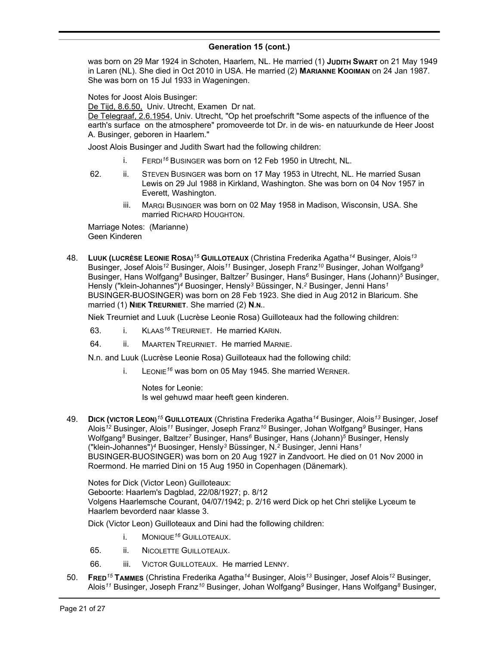#### **Generation 15 (cont.)** , Jenni Hans*<sup>1</sup>* BUSINGER-BUOSINGER)

was born on 29 Mar 1924 in Schoten, Haarlem, NL. He married (1) **JUDITH SWART** on 21 May 1949 in Laren (NL). She died in Oct 2010 in USA. He married (2) **MARIANNE KOOIMAN** on 24 Jan 1987. She was born on 15 Jul 1933 in Wageningen.

Notes for Joost Alois Businger:

De Tijd, 8.6.50, Univ. Utrecht, Examen Dr nat.

De Telegraaf, 2.6.1954, Univ. Utrecht, "Op het proefschrift "Some aspects of the influence of the earth's surface on the atmosphere" promoveerde tot Dr. in de wis- en natuurkunde de Heer Joost A. Businger, geboren in Haarlem."

Joost Alois Businger and Judith Swart had the following children:

- i. FERDI*<sup>16</sup>* BUSINGER was born on 12 Feb 1950 in Utrecht, NL.
- 62. ii. STEVEN BUSINGER was born on 17 May 1953 in Utrecht, NL. He married Susan Lewis on 29 Jul 1988 in Kirkland, Washington. She was born on 04 Nov 1957 in Everett, Washington.
	- iii. MARGI BUSINGER was born on 02 May 1958 in Madison, Wisconsin, USA. She married RICHARD HOUGHTON.

Marriage Notes: (Marianne) Geen Kinderen

48. **LUUK (LUCRÈSE LEONIE ROSA)***<sup>15</sup>* **GUILLOTEAUX** (Christina Frederika Agatha*<sup>14</sup>* Businger, Alois*<sup>13</sup>* Businger, Josef Alois*<sup>12</sup>* Businger, Alois*<sup>11</sup>* Businger, Joseph Franz*<sup>10</sup>* Businger, Johan Wolfgang*<sup>9</sup>* Businger, Hans Wolfgang*<sup>8</sup>* Businger, Baltzer*<sup>7</sup>* Businger, Hans*<sup>6</sup>* Businger, Hans (Johann)*<sup>5</sup>* Businger, Hensly ("klein-Johannes")*<sup>4</sup>* Buosinger, Hensly*<sup>3</sup>* Büssinger, N.*<sup>2</sup>* Businger, Jenni Hans*<sup>1</sup>* BUSINGER-BUOSINGER) was born on 28 Feb 1923. She died in Aug 2012 in Blaricum. She married (1) **NIEK TREURNIET**. She married (2) **N.N.**.

Niek Treurniet and Luuk (Lucrèse Leonie Rosa) Guilloteaux had the following children:

- 63. i. KLAAS*<sup>16</sup>* TREURNIET. He married KARIN.
- 64. ii. MAARTEN TREURNIET. He married MARNIE.

N.n. and Luuk (Lucrèse Leonie Rosa) Guilloteaux had the following child:

i. LEONIE*<sup>16</sup>* was born on 05 May 1945. She married WERNER.

Notes for Leonie: Is wel gehuwd maar heeft geen kinderen.

49. **DICK (VICTOR LEON)***<sup>15</sup>* **GUILLOTEAUX** (Christina Frederika Agatha*<sup>14</sup>* Businger, Alois*<sup>13</sup>* Businger, Josef Alois*<sup>12</sup>* Businger, Alois*<sup>11</sup>* Businger, Joseph Franz*<sup>10</sup>* Businger, Johan Wolfgang*<sup>9</sup>* Businger, Hans Wolfgang*<sup>8</sup>* Businger, Baltzer*<sup>7</sup>* Businger, Hans*<sup>6</sup>* Businger, Hans (Johann)*<sup>5</sup>* Businger, Hensly ("klein-Johannes")*<sup>4</sup>* Buosinger, Hensly*<sup>3</sup>* Büssinger, N.*<sup>2</sup>* Businger, Jenni Hans*<sup>1</sup>* BUSINGER-BUOSINGER) was born on 20 Aug 1927 in Zandvoort. He died on 01 Nov 2000 in Roermond. He married Dini on 15 Aug 1950 in Copenhagen (Dänemark).

Notes for Dick (Victor Leon) Guilloteaux: Geboorte: Haarlem's Dagblad, 22/08/1927; p. 8/12 Volgens Haarlemsche Courant, 04/07/1942; p. 2/16 werd Dick op het Chri stelijke Lyceum te Haarlem bevorderd naar klasse 3.

Dick (Victor Leon) Guilloteaux and Dini had the following children:

- i. MONIQUE*<sup>16</sup>* GUILLOTEAUX.
- 65. ii. NICOLETTE GUILLOTEAUX.
- 66. iii. VICTOR GUILLOTEAUX. He married LENNY.
- 50. **FRED***<sup>15</sup>* **TAMMES** (Christina Frederika Agatha*<sup>14</sup>* Businger, Alois*<sup>13</sup>* Businger, Josef Alois*<sup>12</sup>* Businger, Alois*<sup>11</sup>* Businger, Joseph Franz*<sup>10</sup>* Businger, Johan Wolfgang*<sup>9</sup>* Businger, Hans Wolfgang*<sup>8</sup>* Businger,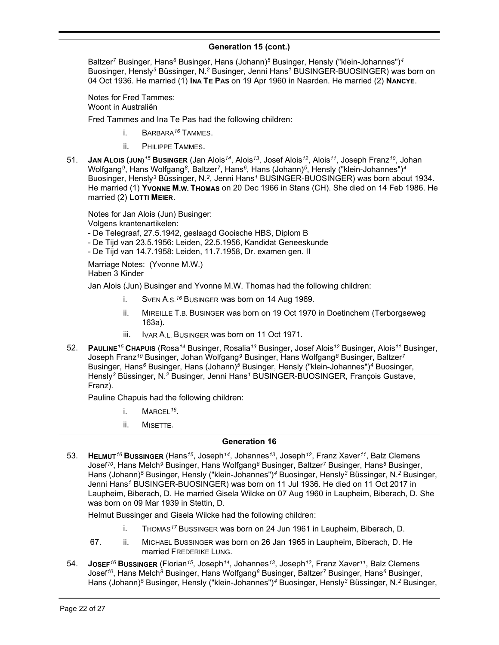Baltzer*<sup>7</sup>* Businger, Hans*<sup>6</sup>* Businger, Hans (Johann)*<sup>5</sup>* Businger, Hensly ("klein-Johannes")*<sup>4</sup>* Buosinger, Hensly*<sup>3</sup>* Büssinger, N.*<sup>2</sup>* Businger, Jenni Hans*<sup>1</sup>* BUSINGER-BUOSINGER) was born on 04 Oct 1936. He married (1) **INA TE PAS** on 19 Apr 1960 in Naarden. He married (2) **NANCYE**.

Notes for Fred Tammes: Woont in Australiën

Fred Tammes and Ina Te Pas had the following children:

- i. BARBARA*<sup>16</sup>* TAMMES.
- ii. PHILIPPE TAMMES.
- 51. **JAN ALOIS (JUN)***<sup>15</sup>* **BUSINGER** (Jan Alois*<sup>14</sup>* , Alois*<sup>13</sup>* , Josef Alois*<sup>12</sup>* , Alois*<sup>11</sup>* , Joseph Franz*<sup>10</sup>* , Johan Wolfgang*<sup>9</sup>* , Hans Wolfgang*<sup>8</sup>* , Baltzer*<sup>7</sup>* , Hans*<sup>6</sup>* , Hans (Johann)*<sup>5</sup>* , Hensly ("klein-Johannes")*<sup>4</sup>* Buosinger, Hensly*<sup>3</sup>* Büssinger, N.*<sup>2</sup>* , Jenni Hans*<sup>1</sup>* BUSINGER-BUOSINGER) was born about 1934. He married (1) **YVONNE M.W. THOMAS** on 20 Dec 1966 in Stans (CH). She died on 14 Feb 1986. He married (2) **LOTTI MEIER**.

Notes for Jan Alois (Jun) Businger:

Volgens krantenartikelen:

- De Telegraaf, 27.5.1942, geslaagd Gooische HBS, Diplom B

- De Tijd van 23.5.1956: Leiden, 22.5.1956, Kandidat Geneeskunde
- De Tijd van 14.7.1958: Leiden, 11.7.1958, Dr. examen gen. II

Marriage Notes: (Yvonne M.W.)

Haben 3 Kinder

Jan Alois (Jun) Businger and Yvonne M.W. Thomas had the following children:

- i. SVEN A.S.*<sup>16</sup>* BUSINGER was born on 14 Aug 1969.
- ii. MIREILLE T.B. BUSINGER was born on 19 Oct 1970 in Doetinchem (Terborgseweg 163a).
- iii. IVAR A.L. BUSINGER was born on 11 Oct 1971.
- 52. **PAULINE***<sup>15</sup>* **CHAPUIS** (Rosa*<sup>14</sup>* Businger, Rosalia*<sup>13</sup>* Businger, Josef Alois*<sup>12</sup>* Businger, Alois*<sup>11</sup>* Businger, Joseph Franz*<sup>10</sup>* Businger, Johan Wolfgang*<sup>9</sup>* Businger, Hans Wolfgang*<sup>8</sup>* Businger, Baltzer*<sup>7</sup>* Businger, Hans*<sup>6</sup>* Businger, Hans (Johann)*<sup>5</sup>* Businger, Hensly ("klein-Johannes")*<sup>4</sup>* Buosinger, Hensly*<sup>3</sup>* Büssinger, N.*<sup>2</sup>* Businger, Jenni Hans*<sup>1</sup>* BUSINGER-BUOSINGER, François Gustave, Franz).

Pauline Chapuis had the following children:

- i. MARCEL*<sup>16</sup>* .
- ii. MISETTE.

# **Generation 16**

53. **HELMUT***<sup>16</sup>* **BUSSINGER** (Hans*<sup>15</sup>* , Joseph*<sup>14</sup>* , Johannes*<sup>13</sup>* , Joseph*<sup>12</sup>* , Franz Xaver*<sup>11</sup>* , Balz Clemens Josef*<sup>10</sup>* , Hans Melch*<sup>9</sup>* Businger, Hans Wolfgang*<sup>8</sup>* Businger, Baltzer*<sup>7</sup>* Businger, Hans*<sup>6</sup>* Businger, Hans (Johann)*<sup>5</sup>* Businger, Hensly ("klein-Johannes")*<sup>4</sup>* Buosinger, Hensly*<sup>3</sup>* Büssinger, N.*<sup>2</sup>* Businger, Jenni Hans*<sup>1</sup>* BUSINGER-BUOSINGER) was born on 11 Jul 1936. He died on 11 Oct 2017 in Laupheim, Biberach, D. He married Gisela Wilcke on 07 Aug 1960 in Laupheim, Biberach, D. She was born on 09 Mar 1939 in Stettin, D.

Helmut Bussinger and Gisela Wilcke had the following children:

- i. THOMAS*<sup>17</sup>* BUSSINGER was born on 24 Jun 1961 in Laupheim, Biberach, D.
- 67. ii. MICHAEL BUSSINGER was born on 26 Jan 1965 in Laupheim, Biberach, D. He married FREDERIKE LUNG.
- 54. **JOSEF***<sup>16</sup>* **BUSSINGER** (Florian*<sup>15</sup>* , Joseph*<sup>14</sup>* , Johannes*<sup>13</sup>* , Joseph*<sup>12</sup>* , Franz Xaver*<sup>11</sup>* , Balz Clemens Josef*<sup>10</sup>* , Hans Melch*<sup>9</sup>* Businger, Hans Wolfgang*<sup>8</sup>* Businger, Baltzer*<sup>7</sup>* Businger, Hans*<sup>6</sup>* Businger, Hans (Johann)*<sup>5</sup>* Businger, Hensly ("klein-Johannes")*<sup>4</sup>* Buosinger, Hensly*<sup>3</sup>* Büssinger, N.*<sup>2</sup>* Businger,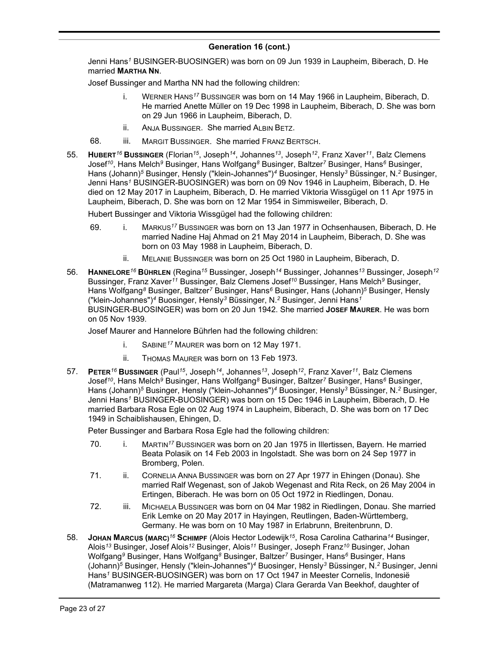Jenni Hans*<sup>1</sup>* BUSINGER-BUOSINGER) was born on 09 Jun 1939 in Laupheim, Biberach, D. He married **MARTHA NN**.

Josef Bussinger and Martha NN had the following children:

- i. WERNER HANS*<sup>17</sup>* BUSSINGER was born on 14 May 1966 in Laupheim, Biberach, D. He married Anette Müller on 19 Dec 1998 in Laupheim, Biberach, D. She was born on 29 Jun 1966 in Laupheim, Biberach, D.
- ii. ANJA BUSSINGER. She married ALBIN BETZ.
- 68. iii. MARGIT BUSSINGER. She married FRANZ BERTSCH.
- 55. **HUBERT***<sup>16</sup>* **BUSSINGER** (Florian*<sup>15</sup>* , Joseph*<sup>14</sup>* , Johannes*<sup>13</sup>* , Joseph*<sup>12</sup>* , Franz Xaver*<sup>11</sup>* , Balz Clemens Josef*<sup>10</sup>* , Hans Melch*<sup>9</sup>* Businger, Hans Wolfgang*<sup>8</sup>* Businger, Baltzer*<sup>7</sup>* Businger, Hans*<sup>6</sup>* Businger, Hans (Johann)*<sup>5</sup>* Businger, Hensly ("klein-Johannes")*<sup>4</sup>* Buosinger, Hensly*<sup>3</sup>* Büssinger, N.*<sup>2</sup>* Businger, Jenni Hans*<sup>1</sup>* BUSINGER-BUOSINGER) was born on 09 Nov 1946 in Laupheim, Biberach, D. He died on 12 May 2017 in Laupheim, Biberach, D. He married Viktoria Wissgügel on 11 Apr 1975 in Laupheim, Biberach, D. She was born on 12 Mar 1954 in Simmisweiler, Biberach, D.

Hubert Bussinger and Viktoria Wissgügel had the following children:

- 69. i. MARKUS*<sup>17</sup>* BUSSINGER was born on 13 Jan 1977 in Ochsenhausen, Biberach, D. He married Nadine Haj Ahmad on 21 May 2014 in Laupheim, Biberach, D. She was born on 03 May 1988 in Laupheim, Biberach, D.
	- ii. MELANIE BUSSINGER was born on 25 Oct 1980 in Laupheim, Biberach, D.
- 56. **HANNELORE***<sup>16</sup>* **BÜHRLEN** (Regina*<sup>15</sup>* Bussinger, Joseph*<sup>14</sup>* Bussinger, Johannes*<sup>13</sup>* Bussinger, Joseph*<sup>12</sup>* Bussinger, Franz Xaver*<sup>11</sup>* Bussinger, Balz Clemens Josef*<sup>10</sup>* Bussinger, Hans Melch*<sup>9</sup>* Businger, Hans Wolfgang*<sup>8</sup>* Businger, Baltzer*<sup>7</sup>* Businger, Hans*<sup>6</sup>* Businger, Hans (Johann)*<sup>5</sup>* Businger, Hensly ("klein-Johannes")*<sup>4</sup>* Buosinger, Hensly*<sup>3</sup>* Büssinger, N.*<sup>2</sup>* Businger, Jenni Hans*<sup>1</sup>* BUSINGER-BUOSINGER) was born on 20 Jun 1942. She married **JOSEF MAURER**. He was born on 05 Nov 1939.

Josef Maurer and Hannelore Bührlen had the following children:

- i. SABINE*<sup>17</sup>* MAURER was born on 12 May 1971.
- ii. THOMAS MAURER was born on 13 Feb 1973.
- 57. **PETER***<sup>16</sup>* **BUSSINGER** (Paul*<sup>15</sup>* , Joseph*<sup>14</sup>* , Johannes*<sup>13</sup>* , Joseph*<sup>12</sup>* , Franz Xaver*<sup>11</sup>* , Balz Clemens Josef*<sup>10</sup>* , Hans Melch*<sup>9</sup>* Businger, Hans Wolfgang*<sup>8</sup>* Businger, Baltzer*<sup>7</sup>* Businger, Hans*<sup>6</sup>* Businger, Hans (Johann)*<sup>5</sup>* Businger, Hensly ("klein-Johannes")*<sup>4</sup>* Buosinger, Hensly*<sup>3</sup>* Büssinger, N.*<sup>2</sup>* Businger, Jenni Hans*<sup>1</sup>* BUSINGER-BUOSINGER) was born on 15 Dec 1946 in Laupheim, Biberach, D. He married Barbara Rosa Egle on 02 Aug 1974 in Laupheim, Biberach, D. She was born on 17 Dec 1949 in Schaiblishausen, Ehingen, D.

Peter Bussinger and Barbara Rosa Egle had the following children:

- 70. i. MARTIN*<sup>17</sup>* BUSSINGER was born on 20 Jan 1975 in Illertissen, Bayern. He married Beata Polasik on 14 Feb 2003 in Ingolstadt. She was born on 24 Sep 1977 in Bromberg, Polen.
- 71. ii. CORNELIA ANNA BUSSINGER was born on 27 Apr 1977 in Ehingen (Donau). She married Ralf Wegenast, son of Jakob Wegenast and Rita Reck, on 26 May 2004 in Ertingen, Biberach. He was born on 05 Oct 1972 in Riedlingen, Donau.
- 72. iii. MICHAELA BUSSINGER was born on 04 Mar 1982 in Riedlingen, Donau. She married Erik Lemke on 20 May 2017 in Hayingen, Reutlingen, Baden-Württemberg, Germany. He was born on 10 May 1987 in Erlabrunn, Breitenbrunn, D.
- 58. **JOHAN MARCUS (MARC)***<sup>16</sup>* **SCHIMPF** (Alois Hector Lodewijk*<sup>15</sup>* , Rosa Carolina Catharina*<sup>14</sup>* Businger, Alois*<sup>13</sup>* Businger, Josef Alois*<sup>12</sup>* Businger, Alois*<sup>11</sup>* Businger, Joseph Franz*<sup>10</sup>* Businger, Johan Wolfgang*<sup>9</sup>* Businger, Hans Wolfgang*<sup>8</sup>* Businger, Baltzer*<sup>7</sup>* Businger, Hans*<sup>6</sup>* Businger, Hans (Johann)*<sup>5</sup>* Businger, Hensly ("klein-Johannes")*<sup>4</sup>* Buosinger, Hensly*<sup>3</sup>* Büssinger, N.*<sup>2</sup>* Businger, Jenni Hans*<sup>1</sup>* BUSINGER-BUOSINGER) was born on 17 Oct 1947 in Meester Cornelis, Indonesië (Matramanweg 112). He married Margareta (Marga) Clara Gerarda Van Beekhof, daughter of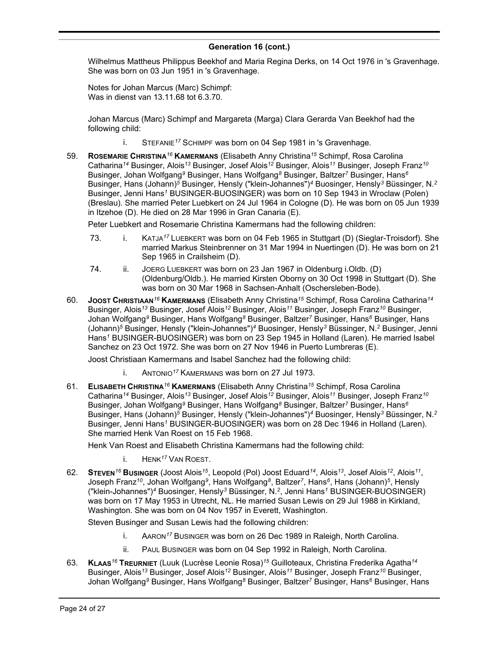Wilhelmus Mattheus Philippus Beekhof and Maria Regina Derks, on 14 Oct 1976 in 's Gravenhage. She was born on 03 Jun 1951 in 's Gravenhage.

Notes for Johan Marcus (Marc) Schimpf: Was in dienst van 13.11.68 tot 6.3.70.

Johan Marcus (Marc) Schimpf and Margareta (Marga) Clara Gerarda Van Beekhof had the following child:

- i. STEFANIE*<sup>17</sup>* SCHIMPF was born on 04 Sep 1981 in 's Gravenhage.
- 59. **ROSEMARIE CHRISTINA***<sup>16</sup>* **KAMERMANS** (Elisabeth Anny Christina*<sup>15</sup>* Schimpf, Rosa Carolina Catharina*<sup>14</sup>* Businger, Alois*<sup>13</sup>* Businger, Josef Alois*<sup>12</sup>* Businger, Alois*<sup>11</sup>* Businger, Joseph Franz*<sup>10</sup>* Businger, Johan Wolfgang*<sup>9</sup>* Businger, Hans Wolfgang*<sup>8</sup>* Businger, Baltzer*<sup>7</sup>* Businger, Hans*<sup>6</sup>* Businger, Hans (Johann)*<sup>5</sup>* Businger, Hensly ("klein-Johannes")*<sup>4</sup>* Buosinger, Hensly*<sup>3</sup>* Büssinger, N.*<sup>2</sup>* Businger, Jenni Hans*<sup>1</sup>* BUSINGER-BUOSINGER) was born on 10 Sep 1943 in Wroclaw (Polen) (Breslau). She married Peter Luebkert on 24 Jul 1964 in Cologne (D). He was born on 05 Jun 1939 in Itzehoe (D). He died on 28 Mar 1996 in Gran Canaria (E).

Peter Luebkert and Rosemarie Christina Kamermans had the following children:

- 73. i. KATJA*<sup>17</sup>* LUEBKERT was born on 04 Feb 1965 in Stuttgart (D) (Sieglar-Troisdorf). She married Markus Steinbrenner on 31 Mar 1994 in Nuertingen (D). He was born on 21 Sep 1965 in Crailsheim (D).
- 74. ii. JOERG LUEBKERT was born on 23 Jan 1967 in Oldenburg i.Oldb. (D) (Oldenburg/Oldb.). He married Kirsten Oborny on 30 Oct 1998 in Stuttgart (D). She was born on 30 Mar 1968 in Sachsen-Anhalt (Oschersleben-Bode).
- 60. **JOOST CHRISTIAAN***<sup>16</sup>* **KAMERMANS** (Elisabeth Anny Christina*<sup>15</sup>* Schimpf, Rosa Carolina Catharina*<sup>14</sup>* Businger, Alois*<sup>13</sup>* Businger, Josef Alois*<sup>12</sup>* Businger, Alois*<sup>11</sup>* Businger, Joseph Franz*<sup>10</sup>* Businger, Johan Wolfgang*<sup>9</sup>* Businger, Hans Wolfgang*<sup>8</sup>* Businger, Baltzer*<sup>7</sup>* Businger, Hans*<sup>6</sup>* Businger, Hans (Johann)*<sup>5</sup>* Businger, Hensly ("klein-Johannes")*<sup>4</sup>* Buosinger, Hensly*<sup>3</sup>* Büssinger, N.*<sup>2</sup>* Businger, Jenni Hans*<sup>1</sup>* BUSINGER-BUOSINGER) was born on 23 Sep 1945 in Holland (Laren). He married Isabel Sanchez on 23 Oct 1972. She was born on 27 Nov 1946 in Puerto Lumbreras (E).

Joost Christiaan Kamermans and Isabel Sanchez had the following child:

- i. ANTONIO*<sup>17</sup>* KAMERMANS was born on 27 Jul 1973.
- 61. **ELISABETH CHRISTINA***<sup>16</sup>* **KAMERMANS** (Elisabeth Anny Christina*<sup>15</sup>* Schimpf, Rosa Carolina Catharina*<sup>14</sup>* Businger, Alois*<sup>13</sup>* Businger, Josef Alois*<sup>12</sup>* Businger, Alois*<sup>11</sup>* Businger, Joseph Franz*<sup>10</sup>* Businger, Johan Wolfgang*<sup>9</sup>* Businger, Hans Wolfgang*<sup>8</sup>* Businger, Baltzer*<sup>7</sup>* Businger, Hans*<sup>6</sup>* Businger, Hans (Johann)*<sup>5</sup>* Businger, Hensly ("klein-Johannes")*<sup>4</sup>* Buosinger, Hensly*<sup>3</sup>* Büssinger, N.*<sup>2</sup>* Businger, Jenni Hans*<sup>1</sup>* BUSINGER-BUOSINGER) was born on 28 Dec 1946 in Holland (Laren). She married Henk Van Roest on 15 Feb 1968.

Henk Van Roest and Elisabeth Christina Kamermans had the following child:

- i. HENK*<sup>17</sup>* VAN ROEST.
- 62. **STEVEN***<sup>16</sup>* **BUSINGER** (Joost Alois*<sup>15</sup>* , Leopold (Pol) Joost Eduard*<sup>14</sup>* , Alois*<sup>13</sup>* , Josef Alois*<sup>12</sup>* , Alois*<sup>11</sup>* , Joseph Franz*<sup>10</sup>* , Johan Wolfgang*<sup>9</sup>* , Hans Wolfgang*<sup>8</sup>* , Baltzer*<sup>7</sup>* , Hans*<sup>6</sup>* , Hans (Johann)*<sup>5</sup>* , Hensly ("klein-Johannes")*<sup>4</sup>* Buosinger, Hensly*<sup>3</sup>* Büssinger, N.*<sup>2</sup>* , Jenni Hans*<sup>1</sup>* BUSINGER-BUOSINGER) was born on 17 May 1953 in Utrecht, NL. He married Susan Lewis on 29 Jul 1988 in Kirkland, Washington. She was born on 04 Nov 1957 in Everett, Washington.

Steven Businger and Susan Lewis had the following children:

- i. AARON*<sup>17</sup>* BUSINGER was born on 26 Dec 1989 in Raleigh, North Carolina.
- ii. PAUL BUSINGER was born on 04 Sep 1992 in Raleigh, North Carolina.
- 63. **KLAAS***<sup>16</sup>* **TREURNIET** (Luuk (Lucrèse Leonie Rosa)*<sup>15</sup>* Guilloteaux, Christina Frederika Agatha*<sup>14</sup>* Businger, Alois*<sup>13</sup>* Businger, Josef Alois*<sup>12</sup>* Businger, Alois*<sup>11</sup>* Businger, Joseph Franz*<sup>10</sup>* Businger, Johan Wolfgang*<sup>9</sup>* Businger, Hans Wolfgang*<sup>8</sup>* Businger, Baltzer*<sup>7</sup>* Businger, Hans*<sup>6</sup>* Businger, Hans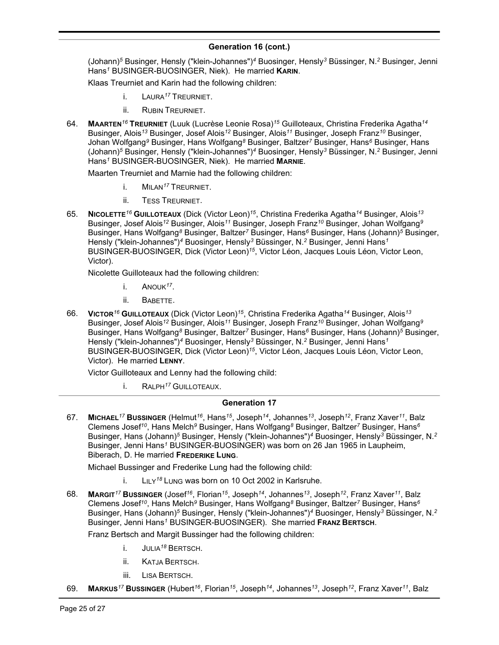(Johann)*<sup>5</sup>* Businger, Hensly ("klein-Johannes")*<sup>4</sup>* Buosinger, Hensly*<sup>3</sup>* Büssinger, N.*<sup>2</sup>* Businger, Jenni Hans*<sup>1</sup>* BUSINGER-BUOSINGER, Niek). He married **KARIN**.

Klaas Treurniet and Karin had the following children:

- i. LAURA*<sup>17</sup>* TREURNIET.
- ii. RUBIN TREURNIET.
- 64. **MAARTEN***<sup>16</sup>* **TREURNIET** (Luuk (Lucrèse Leonie Rosa)*<sup>15</sup>* Guilloteaux, Christina Frederika Agatha*<sup>14</sup>* Businger, Alois*<sup>13</sup>* Businger, Josef Alois*<sup>12</sup>* Businger, Alois*<sup>11</sup>* Businger, Joseph Franz*<sup>10</sup>* Businger, Johan Wolfgang*<sup>9</sup>* Businger, Hans Wolfgang*<sup>8</sup>* Businger, Baltzer*<sup>7</sup>* Businger, Hans*<sup>6</sup>* Businger, Hans (Johann)*<sup>5</sup>* Businger, Hensly ("klein-Johannes")*<sup>4</sup>* Buosinger, Hensly*<sup>3</sup>* Büssinger, N.*<sup>2</sup>* Businger, Jenni Hans*<sup>1</sup>* BUSINGER-BUOSINGER, Niek). He married **MARNIE**.

Maarten Treurniet and Marnie had the following children:

- i. MILAN*<sup>17</sup>* TREURNIET.
- ii. TESS TREURNIET.
- 65. **NICOLETTE***<sup>16</sup>* **GUILLOTEAUX** (Dick (Victor Leon)*<sup>15</sup>* , Christina Frederika Agatha*<sup>14</sup>* Businger, Alois*<sup>13</sup>* Businger, Josef Alois*<sup>12</sup>* Businger, Alois*<sup>11</sup>* Businger, Joseph Franz*<sup>10</sup>* Businger, Johan Wolfgang*<sup>9</sup>* Businger, Hans Wolfgang*<sup>8</sup>* Businger, Baltzer*<sup>7</sup>* Businger, Hans*<sup>6</sup>* Businger, Hans (Johann)*<sup>5</sup>* Businger, Hensly ("klein-Johannes")*<sup>4</sup>* Buosinger, Hensly*<sup>3</sup>* Büssinger, N.*<sup>2</sup>* Businger, Jenni Hans*<sup>1</sup>* BUSINGER-BUOSINGER, Dick (Victor Leon)<sup>15</sup>, Victor Léon, Jacques Louis Léon, Victor Leon, Victor).

Nicolette Guilloteaux had the following children:

- i. ANOUK*<sup>17</sup>* .
- ii. BABETTE.
- 66. **VICTOR***<sup>16</sup>* **GUILLOTEAUX** (Dick (Victor Leon)*<sup>15</sup>* , Christina Frederika Agatha*<sup>14</sup>* Businger, Alois*<sup>13</sup>* Businger, Josef Alois*<sup>12</sup>* Businger, Alois*<sup>11</sup>* Businger, Joseph Franz*<sup>10</sup>* Businger, Johan Wolfgang*<sup>9</sup>* Businger, Hans Wolfgang*<sup>8</sup>* Businger, Baltzer*<sup>7</sup>* Businger, Hans*<sup>6</sup>* Businger, Hans (Johann)*<sup>5</sup>* Businger, Hensly ("klein-Johannes")*<sup>4</sup>* Buosinger, Hensly*<sup>3</sup>* Büssinger, N.*<sup>2</sup>* Businger, Jenni Hans*<sup>1</sup>* BUSINGER-BUOSINGER, Dick (Victor Leon)<sup>15</sup>, Victor Léon, Jacques Louis Léon, Victor Leon, Victor). He married **LENNY**.

Victor Guilloteaux and Lenny had the following child:

i. RALPH*<sup>17</sup>* GUILLOTEAUX.

# **Generation 17**

67. **MICHAEL***<sup>17</sup>* **BUSSINGER** (Helmut*<sup>16</sup>* , Hans*<sup>15</sup>* , Joseph*<sup>14</sup>* , Johannes*<sup>13</sup>* , Joseph*<sup>12</sup>* , Franz Xaver*<sup>11</sup>* , Balz Clemens Josef*<sup>10</sup>* , Hans Melch*<sup>9</sup>* Businger, Hans Wolfgang*<sup>8</sup>* Businger, Baltzer*<sup>7</sup>* Businger, Hans*<sup>6</sup>* Businger, Hans (Johann)*<sup>5</sup>* Businger, Hensly ("klein-Johannes")*<sup>4</sup>* Buosinger, Hensly*<sup>3</sup>* Büssinger, N.*<sup>2</sup>* Businger, Jenni Hans*<sup>1</sup>* BUSINGER-BUOSINGER) was born on 26 Jan 1965 in Laupheim, Biberach, D. He married **FREDERIKE LUNG**.

Michael Bussinger and Frederike Lung had the following child:

- i. LILY*<sup>18</sup>* LUNG was born on 10 Oct 2002 in Karlsruhe.
- 68. **MARGIT***<sup>17</sup>* **BUSSINGER** (Josef*<sup>16</sup>* , Florian*<sup>15</sup>* , Joseph*<sup>14</sup>* , Johannes*<sup>13</sup>* , Joseph*<sup>12</sup>* , Franz Xaver*<sup>11</sup>* , Balz Clemens Josef*<sup>10</sup>* , Hans Melch*<sup>9</sup>* Businger, Hans Wolfgang*<sup>8</sup>* Businger, Baltzer*<sup>7</sup>* Businger, Hans*<sup>6</sup>* Businger, Hans (Johann)*<sup>5</sup>* Businger, Hensly ("klein-Johannes")*<sup>4</sup>* Buosinger, Hensly*<sup>3</sup>* Büssinger, N.*<sup>2</sup>* Businger, Jenni Hans*<sup>1</sup>* BUSINGER-BUOSINGER). She married **FRANZ BERTSCH**.

Franz Bertsch and Margit Bussinger had the following children:

- i. JULIA*<sup>18</sup>* BERTSCH.
- ii. KATJA BERTSCH.
- iii. LISA BERTSCH.
- 69. **MARKUS***<sup>17</sup>* **BUSSINGER** (Hubert*<sup>16</sup>* , Florian*<sup>15</sup>* , Joseph*<sup>14</sup>* , Johannes*<sup>13</sup>* , Joseph*<sup>12</sup>* , Franz Xaver*<sup>11</sup>* , Balz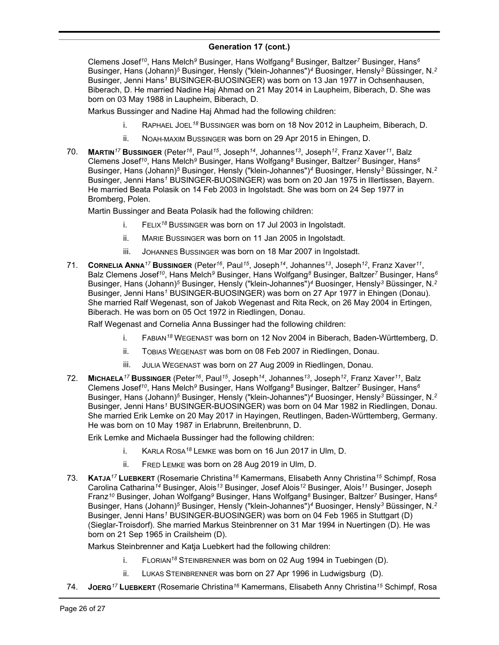#### **Generation 17 (cont.)** , Johannes*<sup>13</sup>*

Clemens Josef*<sup>10</sup>* , Hans Melch*<sup>9</sup>* Businger, Hans Wolfgang*<sup>8</sup>* Businger, Baltzer*<sup>7</sup>* Businger, Hans*<sup>6</sup>* Businger, Hans (Johann)*<sup>5</sup>* Businger, Hensly ("klein-Johannes")*<sup>4</sup>* Buosinger, Hensly*<sup>3</sup>* Büssinger, N.*<sup>2</sup>* Businger, Jenni Hans*<sup>1</sup>* BUSINGER-BUOSINGER) was born on 13 Jan 1977 in Ochsenhausen, Biberach, D. He married Nadine Haj Ahmad on 21 May 2014 in Laupheim, Biberach, D. She was born on 03 May 1988 in Laupheim, Biberach, D.

Markus Bussinger and Nadine Haj Ahmad had the following children:

- i. RAPHAEL JOEL*<sup>18</sup>* BUSSINGER was born on 18 Nov 2012 in Laupheim, Biberach, D.
- ii. NOAH-MAXIM BUSSINGER was born on 29 Apr 2015 in Ehingen, D.
- 70. **MARTIN***<sup>17</sup>* **BUSSINGER** (Peter*<sup>16</sup>* , Paul*<sup>15</sup>* , Joseph*<sup>14</sup>* , Johannes*<sup>13</sup>* , Joseph*<sup>12</sup>* , Franz Xaver*<sup>11</sup>* , Balz Clemens Josef*<sup>10</sup>* , Hans Melch*<sup>9</sup>* Businger, Hans Wolfgang*<sup>8</sup>* Businger, Baltzer*<sup>7</sup>* Businger, Hans*<sup>6</sup>* Businger, Hans (Johann)*<sup>5</sup>* Businger, Hensly ("klein-Johannes")*<sup>4</sup>* Buosinger, Hensly*<sup>3</sup>* Büssinger, N.*<sup>2</sup>* Businger, Jenni Hans*<sup>1</sup>* BUSINGER-BUOSINGER) was born on 20 Jan 1975 in Illertissen, Bayern. He married Beata Polasik on 14 Feb 2003 in Ingolstadt. She was born on 24 Sep 1977 in Bromberg, Polen.

Martin Bussinger and Beata Polasik had the following children:

- i. FELIX*<sup>18</sup>* BUSSINGER was born on 17 Jul 2003 in Ingolstadt.
- ii. MARIE BUSSINGER was born on 11 Jan 2005 in Ingolstadt.
- iii. JOHANNES BUSSINGER was born on 18 Mar 2007 in Ingolstadt.
- 71. **CORNELIA ANNA***<sup>17</sup>* **BUSSINGER** (Peter*<sup>16</sup>* , Paul*<sup>15</sup>* , Joseph*<sup>14</sup>* , Johannes*<sup>13</sup>* , Joseph*<sup>12</sup>* , Franz Xaver*<sup>11</sup>* , Balz Clemens Josef*<sup>10</sup>* , Hans Melch*<sup>9</sup>* Businger, Hans Wolfgang*<sup>8</sup>* Businger, Baltzer*<sup>7</sup>* Businger, Hans*<sup>6</sup>* Businger, Hans (Johann)*<sup>5</sup>* Businger, Hensly ("klein-Johannes")*<sup>4</sup>* Buosinger, Hensly*<sup>3</sup>* Büssinger, N.*<sup>2</sup>* Businger, Jenni Hans*<sup>1</sup>* BUSINGER-BUOSINGER) was born on 27 Apr 1977 in Ehingen (Donau). She married Ralf Wegenast, son of Jakob Wegenast and Rita Reck, on 26 May 2004 in Ertingen, Biberach. He was born on 05 Oct 1972 in Riedlingen, Donau.

Ralf Wegenast and Cornelia Anna Bussinger had the following children:

- i. FABIAN*<sup>18</sup>* WEGENAST was born on 12 Nov 2004 in Biberach, Baden-Württemberg, D.
- ii. TOBIAS WEGENAST was born on 08 Feb 2007 in Riedlingen, Donau.
- iii. JULIA WEGENAST was born on 27 Aug 2009 in Riedlingen, Donau.
- 72. **MICHAELA***<sup>17</sup>* **BUSSINGER** (Peter*<sup>16</sup>* , Paul*<sup>15</sup>* , Joseph*<sup>14</sup>* , Johannes*<sup>13</sup>* , Joseph*<sup>12</sup>* , Franz Xaver*<sup>11</sup>* , Balz Clemens Josef*<sup>10</sup>* , Hans Melch*<sup>9</sup>* Businger, Hans Wolfgang*<sup>8</sup>* Businger, Baltzer*<sup>7</sup>* Businger, Hans*<sup>6</sup>* Businger, Hans (Johann)*<sup>5</sup>* Businger, Hensly ("klein-Johannes")*<sup>4</sup>* Buosinger, Hensly*<sup>3</sup>* Büssinger, N.*<sup>2</sup>* Businger, Jenni Hans*<sup>1</sup>* BUSINGER-BUOSINGER) was born on 04 Mar 1982 in Riedlingen, Donau. She married Erik Lemke on 20 May 2017 in Hayingen, Reutlingen, Baden-Württemberg, Germany. He was born on 10 May 1987 in Erlabrunn, Breitenbrunn, D.

Erik Lemke and Michaela Bussinger had the following children:

- i. KARLA ROSA*<sup>18</sup>* LEMKE was born on 16 Jun 2017 in Ulm, D.
- ii. FRED LEMKE was born on 28 Aug 2019 in Ulm, D.
- 73. **KATJA***<sup>17</sup>* **LUEBKERT** (Rosemarie Christina*<sup>16</sup>* Kamermans, Elisabeth Anny Christina*<sup>15</sup>* Schimpf, Rosa Carolina Catharina*<sup>14</sup>* Businger, Alois*<sup>13</sup>* Businger, Josef Alois*<sup>12</sup>* Businger, Alois*<sup>11</sup>* Businger, Joseph Franz*<sup>10</sup>* Businger, Johan Wolfgang*<sup>9</sup>* Businger, Hans Wolfgang*<sup>8</sup>* Businger, Baltzer*<sup>7</sup>* Businger, Hans*<sup>6</sup>* Businger, Hans (Johann)*<sup>5</sup>* Businger, Hensly ("klein-Johannes")*<sup>4</sup>* Buosinger, Hensly*<sup>3</sup>* Büssinger, N.*<sup>2</sup>* Businger, Jenni Hans*<sup>1</sup>* BUSINGER-BUOSINGER) was born on 04 Feb 1965 in Stuttgart (D) (Sieglar-Troisdorf). She married Markus Steinbrenner on 31 Mar 1994 in Nuertingen (D). He was born on 21 Sep 1965 in Crailsheim (D).

Markus Steinbrenner and Katja Luebkert had the following children:

- i. FLORIAN*<sup>18</sup>* STEINBRENNER was born on 02 Aug 1994 in Tuebingen (D).
- ii. LUKAS STEINBRENNER was born on 27 Apr 1996 in Ludwigsburg (D).
- 74. **JOERG***<sup>17</sup>* **LUEBKERT** (Rosemarie Christina*<sup>16</sup>* Kamermans, Elisabeth Anny Christina*<sup>15</sup>* Schimpf, Rosa